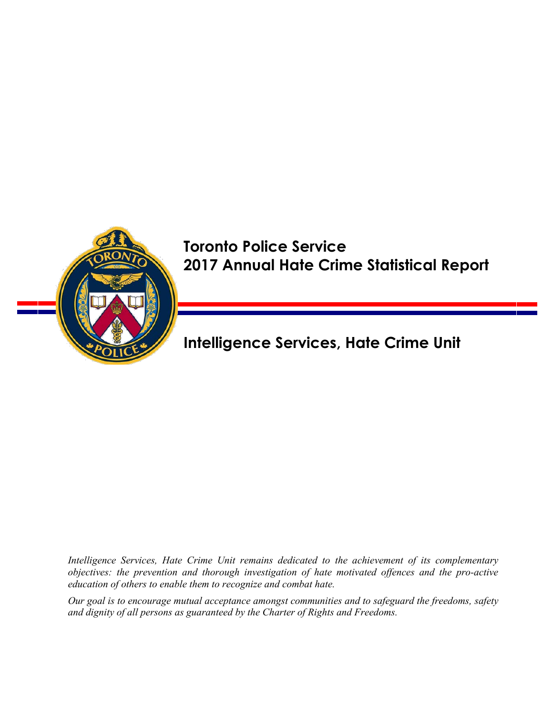

# Toronto Police Service 2017 Annual Hate Crime Statistical Report

Intelligence Services, Hate Crime Unit

*Intelligence Services, Hate Crime Unit remains dedicated to the achievement of its complementary objectives: the prevention and thorough investigation of hate motivated offences and the pro-active education of others to enable them to recognize and combat hate.* 

*Our goal is to encourage mutual acceptance amongst communities and to safeguard the freedoms, safety and dignity of all persons as guaranteed by the Charter of Rights and Freedoms.*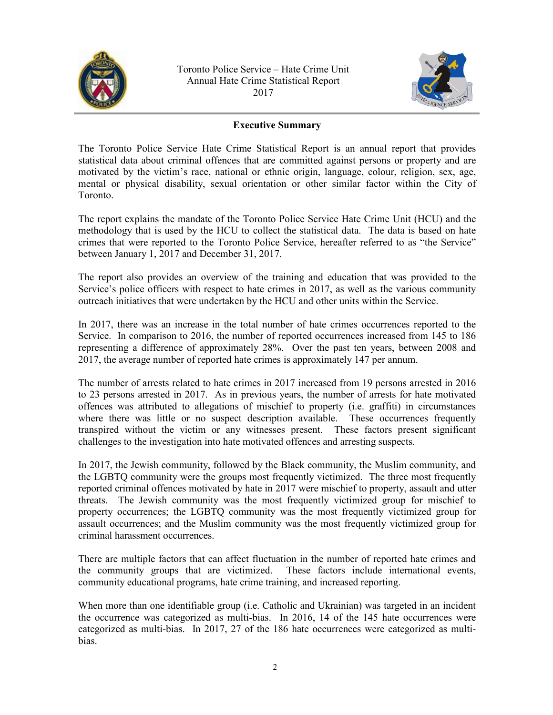



## **Executive Summary**

The Toronto Police Service Hate Crime Statistical Report is an annual report that provides statistical data about criminal offences that are committed against persons or property and are motivated by the victim's race, national or ethnic origin, language, colour, religion, sex, age, mental or physical disability, sexual orientation or other similar factor within the City of Toronto.

The report explains the mandate of the Toronto Police Service Hate Crime Unit (HCU) and the methodology that is used by the HCU to collect the statistical data. The data is based on hate crimes that were reported to the Toronto Police Service, hereafter referred to as "the Service" between January 1, 2017 and December 31, 2017.

The report also provides an overview of the training and education that was provided to the Service's police officers with respect to hate crimes in 2017, as well as the various community outreach initiatives that were undertaken by the HCU and other units within the Service.

In 2017, there was an increase in the total number of hate crimes occurrences reported to the Service. In comparison to 2016, the number of reported occurrences increased from 145 to 186 representing a difference of approximately 28%. Over the past ten years, between 2008 and 2017, the average number of reported hate crimes is approximately 147 per annum.

The number of arrests related to hate crimes in 2017 increased from 19 persons arrested in 2016 to 23 persons arrested in 2017. As in previous years, the number of arrests for hate motivated offences was attributed to allegations of mischief to property (i.e. graffiti) in circumstances where there was little or no suspect description available. These occurrences frequently transpired without the victim or any witnesses present. These factors present significant challenges to the investigation into hate motivated offences and arresting suspects.

In 2017, the Jewish community, followed by the Black community, the Muslim community, and the LGBTQ community were the groups most frequently victimized. The three most frequently reported criminal offences motivated by hate in 2017 were mischief to property, assault and utter threats. The Jewish community was the most frequently victimized group for mischief to property occurrences; the LGBTQ community was the most frequently victimized group for assault occurrences; and the Muslim community was the most frequently victimized group for criminal harassment occurrences.

There are multiple factors that can affect fluctuation in the number of reported hate crimes and the community groups that are victimized. These factors include international events, community educational programs, hate crime training, and increased reporting.

When more than one identifiable group (i.e. Catholic and Ukrainian) was targeted in an incident the occurrence was categorized as multi-bias. In 2016, 14 of the 145 hate occurrences were categorized as multi-bias. In 2017, 27 of the 186 hate occurrences were categorized as multibias.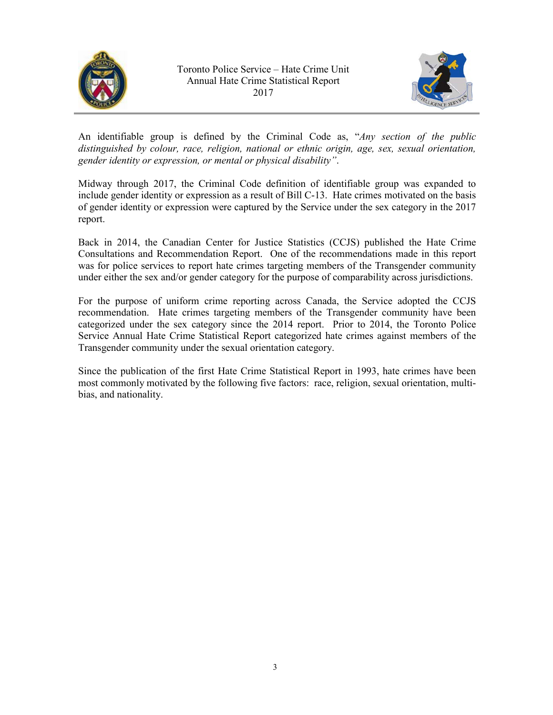



An identifiable group is defined by the Criminal Code as, "*Any section of the public distinguished by colour, race, religion, national or ethnic origin, age, sex, sexual orientation, gender identity or expression, or mental or physical disability"*.

Midway through 2017, the Criminal Code definition of identifiable group was expanded to include gender identity or expression as a result of Bill C-13. Hate crimes motivated on the basis of gender identity or expression were captured by the Service under the sex category in the 2017 report.

Back in 2014, the Canadian Center for Justice Statistics (CCJS) published the Hate Crime Consultations and Recommendation Report. One of the recommendations made in this report was for police services to report hate crimes targeting members of the Transgender community under either the sex and/or gender category for the purpose of comparability across jurisdictions.

For the purpose of uniform crime reporting across Canada, the Service adopted the CCJS recommendation. Hate crimes targeting members of the Transgender community have been categorized under the sex category since the 2014 report. Prior to 2014, the Toronto Police Service Annual Hate Crime Statistical Report categorized hate crimes against members of the Transgender community under the sexual orientation category.

Since the publication of the first Hate Crime Statistical Report in 1993, hate crimes have been most commonly motivated by the following five factors: race, religion, sexual orientation, multibias, and nationality.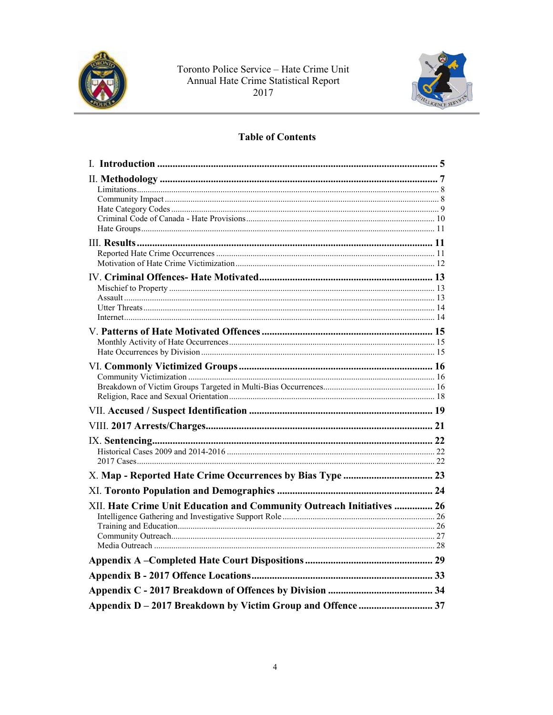



## **Table of Contents**

| XII. Hate Crime Unit Education and Community Outreach Initiatives  26 |  |
|-----------------------------------------------------------------------|--|
|                                                                       |  |
|                                                                       |  |
|                                                                       |  |
|                                                                       |  |
|                                                                       |  |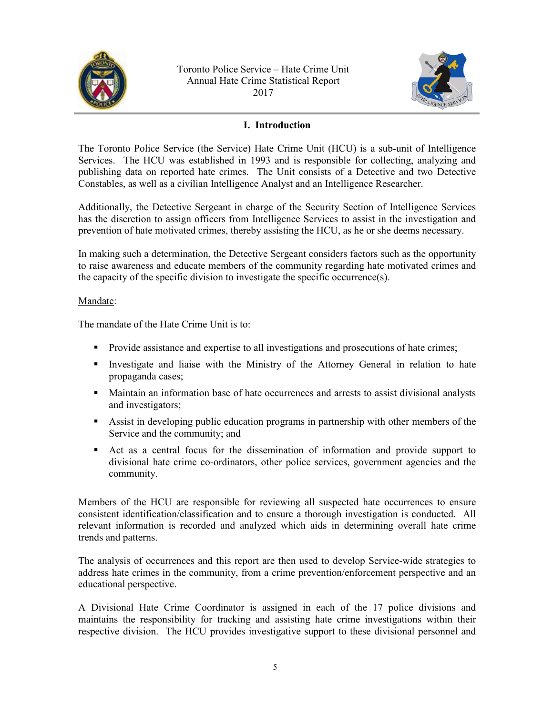<span id="page-4-0"></span>



## **I. Introduction**

The Toronto Police Service (the Service) Hate Crime Unit (HCU) is a sub-unit of Intelligence Services. The HCU was established in 1993 and is responsible for collecting, analyzing and publishing data on reported hate crimes. The Unit consists of a Detective and two Detective Constables, as well as a civilian Intelligence Analyst and an Intelligence Researcher.

Additionally, the Detective Sergeant in charge of the Security Section of Intelligence Services has the discretion to assign officers from Intelligence Services to assist in the investigation and prevention of hate motivated crimes, thereby assisting the HCU, as he or she deems necessary.

In making such a determination, the Detective Sergeant considers factors such as the opportunity to raise awareness and educate members of the community regarding hate motivated crimes and the capacity of the specific division to investigate the specific occurrence(s).

#### Mandate:

The mandate of the Hate Crime Unit is to:

- **Provide assistance and expertise to all investigations and prosecutions of hate crimes;**
- Investigate and liaise with the Ministry of the Attorney General in relation to hate propaganda cases;
- Maintain an information base of hate occurrences and arrests to assist divisional analysts and investigators;
- Assist in developing public education programs in partnership with other members of the Service and the community; and
- Act as a central focus for the dissemination of information and provide support to divisional hate crime co-ordinators, other police services, government agencies and the community.

Members of the HCU are responsible for reviewing all suspected hate occurrences to ensure consistent identification/classification and to ensure a thorough investigation is conducted. All relevant information is recorded and analyzed which aids in determining overall hate crime trends and patterns.

The analysis of occurrences and this report are then used to develop Service-wide strategies to address hate crimes in the community, from a crime prevention/enforcement perspective and an educational perspective.

A Divisional Hate Crime Coordinator is assigned in each of the 17 police divisions and maintains the responsibility for tracking and assisting hate crime investigations within their respective division. The HCU provides investigative support to these divisional personnel and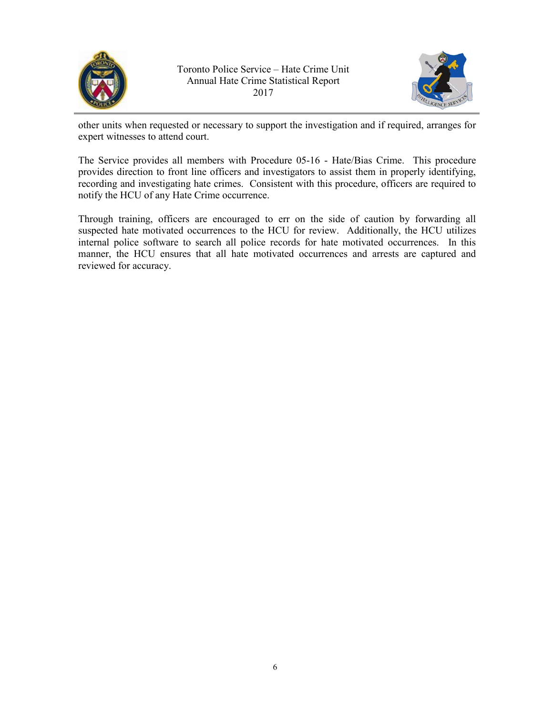



other units when requested or necessary to support the investigation and if required, arranges for expert witnesses to attend court.

The Service provides all members with Procedure 05-16 - Hate/Bias Crime. This procedure provides direction to front line officers and investigators to assist them in properly identifying, recording and investigating hate crimes. Consistent with this procedure, officers are required to notify the HCU of any Hate Crime occurrence.

Through training, officers are encouraged to err on the side of caution by forwarding all suspected hate motivated occurrences to the HCU for review. Additionally, the HCU utilizes internal police software to search all police records for hate motivated occurrences. In this manner, the HCU ensures that all hate motivated occurrences and arrests are captured and reviewed for accuracy.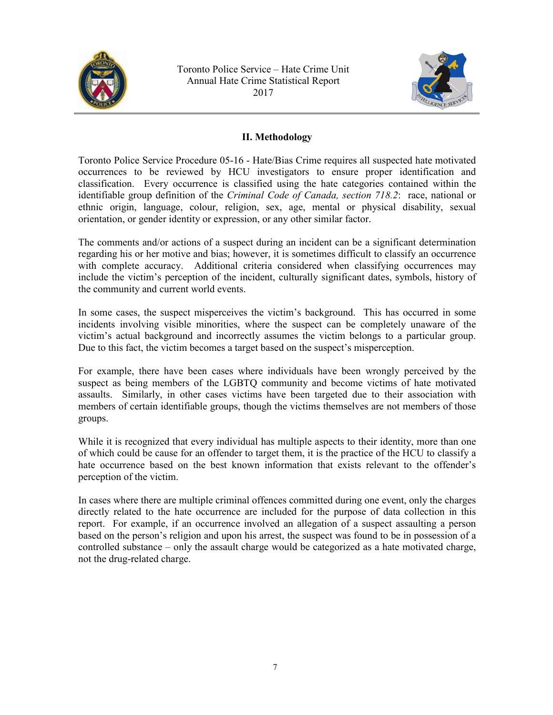<span id="page-6-0"></span>



## **II. Methodology**

Toronto Police Service Procedure 05-16 - Hate/Bias Crime requires all suspected hate motivated occurrences to be reviewed by HCU investigators to ensure proper identification and classification. Every occurrence is classified using the hate categories contained within the identifiable group definition of the *Criminal Code of Canada, section 718.2*: race, national or ethnic origin, language, colour, religion, sex, age, mental or physical disability, sexual orientation, or gender identity or expression, or any other similar factor.

The comments and/or actions of a suspect during an incident can be a significant determination regarding his or her motive and bias; however, it is sometimes difficult to classify an occurrence with complete accuracy. Additional criteria considered when classifying occurrences may include the victim's perception of the incident, culturally significant dates, symbols, history of the community and current world events.

In some cases, the suspect misperceives the victim's background. This has occurred in some incidents involving visible minorities, where the suspect can be completely unaware of the victim's actual background and incorrectly assumes the victim belongs to a particular group. Due to this fact, the victim becomes a target based on the suspect's misperception.

For example, there have been cases where individuals have been wrongly perceived by the suspect as being members of the LGBTQ community and become victims of hate motivated assaults. Similarly, in other cases victims have been targeted due to their association with members of certain identifiable groups, though the victims themselves are not members of those groups.

While it is recognized that every individual has multiple aspects to their identity, more than one of which could be cause for an offender to target them, it is the practice of the HCU to classify a hate occurrence based on the best known information that exists relevant to the offender's perception of the victim.

In cases where there are multiple criminal offences committed during one event, only the charges directly related to the hate occurrence are included for the purpose of data collection in this report. For example, if an occurrence involved an allegation of a suspect assaulting a person based on the person's religion and upon his arrest, the suspect was found to be in possession of a controlled substance – only the assault charge would be categorized as a hate motivated charge, not the drug-related charge.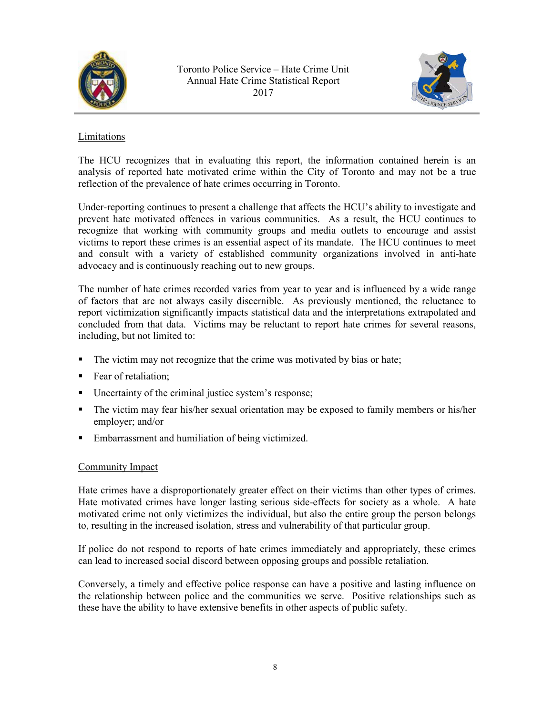<span id="page-7-0"></span>



## Limitations

The HCU recognizes that in evaluating this report, the information contained herein is an analysis of reported hate motivated crime within the City of Toronto and may not be a true reflection of the prevalence of hate crimes occurring in Toronto.

Under-reporting continues to present a challenge that affects the HCU's ability to investigate and prevent hate motivated offences in various communities. As a result, the HCU continues to recognize that working with community groups and media outlets to encourage and assist victims to report these crimes is an essential aspect of its mandate. The HCU continues to meet and consult with a variety of established community organizations involved in anti-hate advocacy and is continuously reaching out to new groups.

The number of hate crimes recorded varies from year to year and is influenced by a wide range of factors that are not always easily discernible. As previously mentioned, the reluctance to report victimization significantly impacts statistical data and the interpretations extrapolated and concluded from that data. Victims may be reluctant to report hate crimes for several reasons, including, but not limited to:

- The victim may not recognize that the crime was motivated by bias or hate;
- Fear of retaliation;
- Uncertainty of the criminal justice system's response;
- The victim may fear his/her sexual orientation may be exposed to family members or his/her employer; and/or
- Embarrassment and humiliation of being victimized.

## Community Impact

Hate crimes have a disproportionately greater effect on their victims than other types of crimes. Hate motivated crimes have longer lasting serious side-effects for society as a whole. A hate motivated crime not only victimizes the individual, but also the entire group the person belongs to, resulting in the increased isolation, stress and vulnerability of that particular group.

If police do not respond to reports of hate crimes immediately and appropriately, these crimes can lead to increased social discord between opposing groups and possible retaliation.

Conversely, a timely and effective police response can have a positive and lasting influence on the relationship between police and the communities we serve. Positive relationships such as these have the ability to have extensive benefits in other aspects of public safety.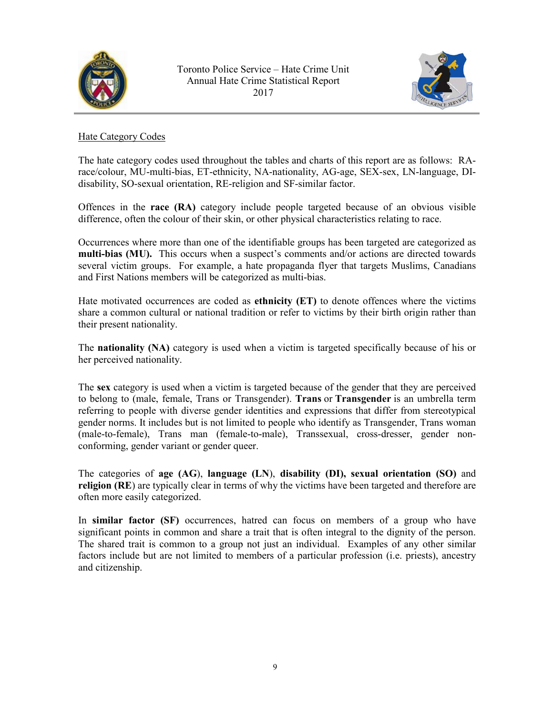<span id="page-8-0"></span>



## Hate Category Codes

The hate category codes used throughout the tables and charts of this report are as follows: RArace/colour, MU-multi-bias, ET-ethnicity, NA-nationality, AG-age, SEX-sex, LN-language, DIdisability, SO-sexual orientation, RE-religion and SF-similar factor.

Offences in the **race (RA)** category include people targeted because of an obvious visible difference, often the colour of their skin, or other physical characteristics relating to race.

Occurrences where more than one of the identifiable groups has been targeted are categorized as **multi-bias (MU).** This occurs when a suspect's comments and/or actions are directed towards several victim groups. For example, a hate propaganda flyer that targets Muslims, Canadians and First Nations members will be categorized as multi-bias.

Hate motivated occurrences are coded as **ethnicity (ET)** to denote offences where the victims share a common cultural or national tradition or refer to victims by their birth origin rather than their present nationality.

The **nationality (NA)** category is used when a victim is targeted specifically because of his or her perceived nationality.

The **sex** category is used when a victim is targeted because of the gender that they are perceived to belong to (male, female, Trans or Transgender). **Trans** or **Transgender** is an umbrella term referring to people with diverse gender identities and expressions that differ from stereotypical gender norms. It includes but is not limited to people who identify as Transgender, Trans woman (male-to-female), Trans man (female-to-male), Transsexual, cross-dresser, gender nonconforming, gender variant or gender queer.

The categories of **age (AG**), **language (LN**), **disability (DI), sexual orientation (SO)** and **religion (RE**) are typically clear in terms of why the victims have been targeted and therefore are often more easily categorized.

In **similar factor (SF)** occurrences, hatred can focus on members of a group who have significant points in common and share a trait that is often integral to the dignity of the person. The shared trait is common to a group not just an individual. Examples of any other similar factors include but are not limited to members of a particular profession (i.e. priests), ancestry and citizenship.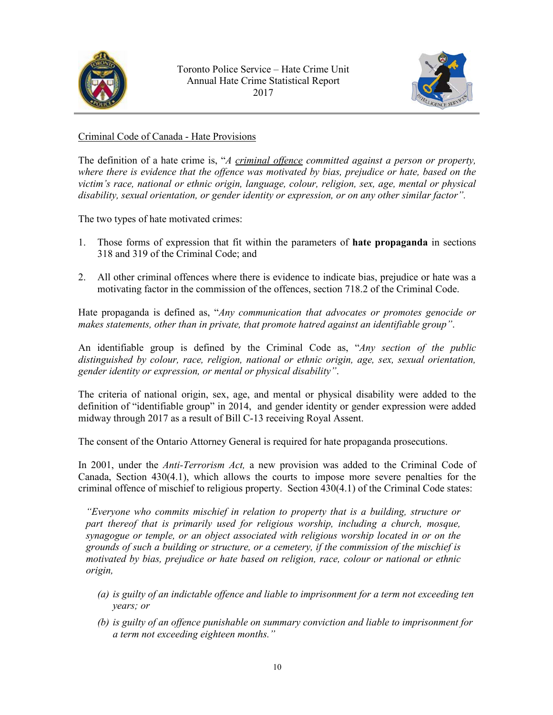<span id="page-9-0"></span>



Criminal Code of Canada - Hate Provisions

The definition of a hate crime is, "*A criminal offence committed against a person or property, where there is evidence that the offence was motivated by bias, prejudice or hate, based on the victim's race, national or ethnic origin, language, colour, religion, sex, age, mental or physical disability, sexual orientation, or gender identity or expression, or on any other similar factor".*

The two types of hate motivated crimes:

- 1. Those forms of expression that fit within the parameters of **hate propaganda** in sections 318 and 319 of the Criminal Code; and
- 2. All other criminal offences where there is evidence to indicate bias, prejudice or hate was a motivating factor in the commission of the offences, section 718.2 of the Criminal Code.

Hate propaganda is defined as, "*Any communication that advocates or promotes genocide or makes statements, other than in private, that promote hatred against an identifiable group"*.

An identifiable group is defined by the Criminal Code as, "*Any section of the public distinguished by colour, race, religion, national or ethnic origin, age, sex, sexual orientation, gender identity or expression, or mental or physical disability"*.

The criteria of national origin, sex, age, and mental or physical disability were added to the definition of "identifiable group" in 2014, and gender identity or gender expression were added midway through 2017 as a result of Bill C-13 receiving Royal Assent.

The consent of the Ontario Attorney General is required for hate propaganda prosecutions.

In 2001, under the *Anti-Terrorism Act,* a new provision was added to the Criminal Code of Canada, Section 430(4.1), which allows the courts to impose more severe penalties for the criminal offence of mischief to religious property. Section 430(4.1) of the Criminal Code states:

*"Everyone who commits mischief in relation to property that is a building, structure or part thereof that is primarily used for religious worship, including a church, mosque, synagogue or temple, or an object associated with religious worship located in or on the grounds of such a building or structure, or a cemetery, if the commission of the mischief is motivated by bias, prejudice or hate based on religion, race, colour or national or ethnic origin,* 

- *(a) is guilty of an indictable offence and liable to imprisonment for a term not exceeding ten years; or*
- *(b) is guilty of an offence punishable on summary conviction and liable to imprisonment for a term not exceeding eighteen months."*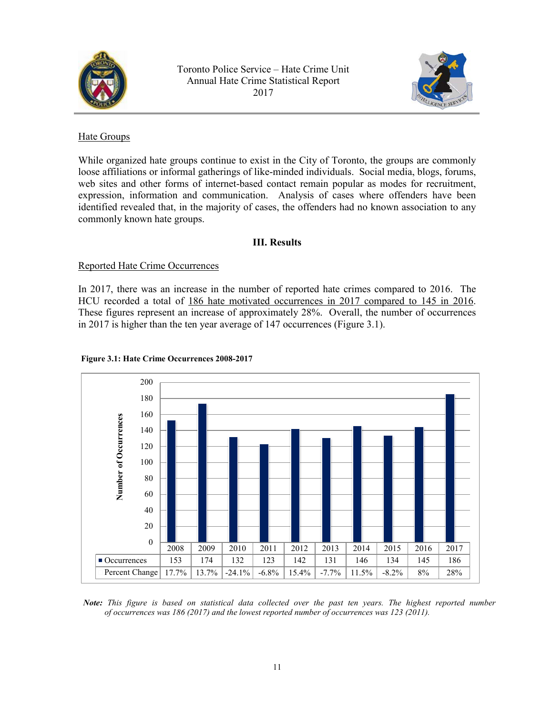<span id="page-10-0"></span>



## Hate Groups

While organized hate groups continue to exist in the City of Toronto, the groups are commonly loose affiliations or informal gatherings of like-minded individuals. Social media, blogs, forums, web sites and other forms of internet-based contact remain popular as modes for recruitment, expression, information and communication. Analysis of cases where offenders have been identified revealed that, in the majority of cases, the offenders had no known association to any commonly known hate groups.

## **III. Results**

## Reported Hate Crime Occurrences

In 2017, there was an increase in the number of reported hate crimes compared to 2016. The HCU recorded a total of 186 hate motivated occurrences in 2017 compared to 145 in 2016. These figures represent an increase of approximately 28%. Overall, the number of occurrences in 2017 is higher than the ten year average of 147 occurrences (Figure 3.1).



#### **Figure 3.1: Hate Crime Occurrences 2008-2017**

*Note: This figure is based on statistical data collected over the past ten years. The highest reported number of occurrences was 186 (2017) and the lowest reported number of occurrences was 123 (2011).*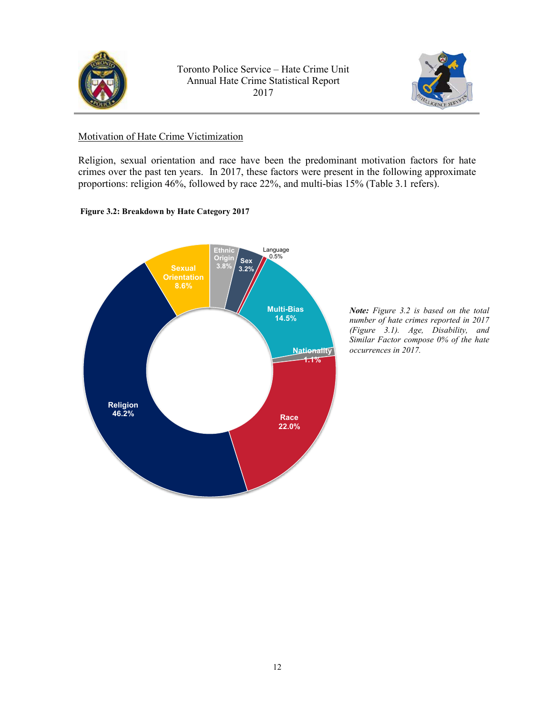<span id="page-11-0"></span>



#### Motivation of Hate Crime Victimization

Religion, sexual orientation and race have been the predominant motivation factors for hate crimes over the past ten years. In 2017, these factors were present in the following approximate proportions: religion 46%, followed by race 22%, and multi-bias 15% (Table 3.1 refers).

#### **Figure 3.2: Breakdown by Hate Category 2017**



*Note: Figure 3.2 is based on the total number of hate crimes reported in 2017 (Figure 3.1). Age, Disability, and Similar Factor compose 0% of the hate occurrences in 2017.*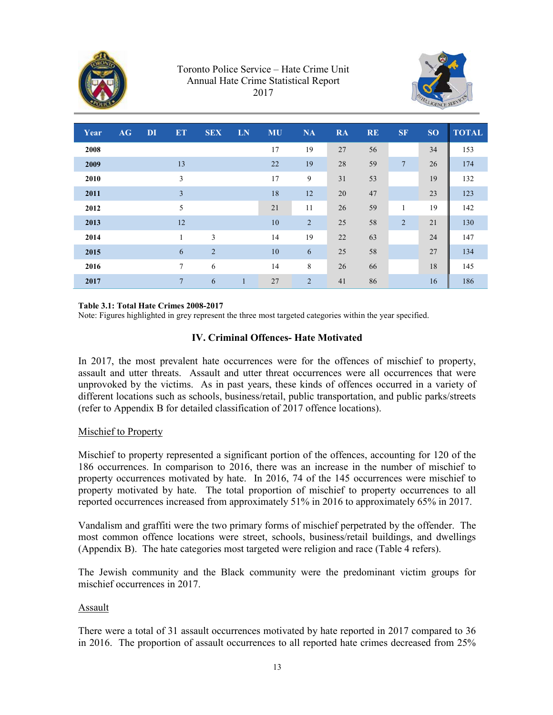<span id="page-12-0"></span>



| Year | AG | DI | <b>ET</b>      | <b>SEX</b>     | LN           | <b>MU</b> | <b>NA</b>      | <b>RA</b> | <b>RE</b> | <b>SF</b>      | <b>SO</b> | <b>TOTAL</b> |
|------|----|----|----------------|----------------|--------------|-----------|----------------|-----------|-----------|----------------|-----------|--------------|
| 2008 |    |    |                |                |              | 17        | 19             | 27        | 56        |                | 34        | 153          |
| 2009 |    |    | 13             |                |              | 22        | 19             | 28        | 59        | 7              | 26        | 174          |
| 2010 |    |    | 3              |                |              | 17        | 9              | 31        | 53        |                | 19        | 132          |
| 2011 |    |    | 3              |                |              | 18        | 12             | 20        | 47        |                | 23        | 123          |
| 2012 |    |    | 5              |                |              | 21        | 11             | 26        | 59        | 1              | 19        | 142          |
| 2013 |    |    | 12             |                |              | 10        | $\overline{2}$ | 25        | 58        | $\overline{2}$ | 21        | 130          |
| 2014 |    |    | 1              | 3              |              | 14        | 19             | 22        | 63        |                | 24        | 147          |
| 2015 |    |    | 6              | $\overline{2}$ |              | 10        | 6              | 25        | 58        |                | 27        | 134          |
| 2016 |    |    | $\overline{7}$ | 6              |              | 14        | 8              | 26        | 66        |                | 18        | 145          |
| 2017 |    |    | $\overline{7}$ | 6              | $\mathbf{1}$ | 27        | $\overline{2}$ | 41        | 86        |                | 16        | 186          |

#### **Table 3.1: Total Hate Crimes 2008-2017**

Note: Figures highlighted in grey represent the three most targeted categories within the year specified.

#### **IV. Criminal Offences- Hate Motivated**

In 2017, the most prevalent hate occurrences were for the offences of mischief to property, assault and utter threats. Assault and utter threat occurrences were all occurrences that were unprovoked by the victims. As in past years, these kinds of offences occurred in a variety of different locations such as schools, business/retail, public transportation, and public parks/streets (refer to Appendix B for detailed classification of 2017 offence locations).

#### Mischief to Property

Mischief to property represented a significant portion of the offences, accounting for 120 of the 186 occurrences. In comparison to 2016, there was an increase in the number of mischief to property occurrences motivated by hate. In 2016, 74 of the 145 occurrences were mischief to property motivated by hate. The total proportion of mischief to property occurrences to all reported occurrences increased from approximately 51% in 2016 to approximately 65% in 2017.

Vandalism and graffiti were the two primary forms of mischief perpetrated by the offender. The most common offence locations were street, schools, business/retail buildings, and dwellings (Appendix B). The hate categories most targeted were religion and race (Table 4 refers).

The Jewish community and the Black community were the predominant victim groups for mischief occurrences in 2017.

#### Assault

There were a total of 31 assault occurrences motivated by hate reported in 2017 compared to 36 in 2016. The proportion of assault occurrences to all reported hate crimes decreased from 25%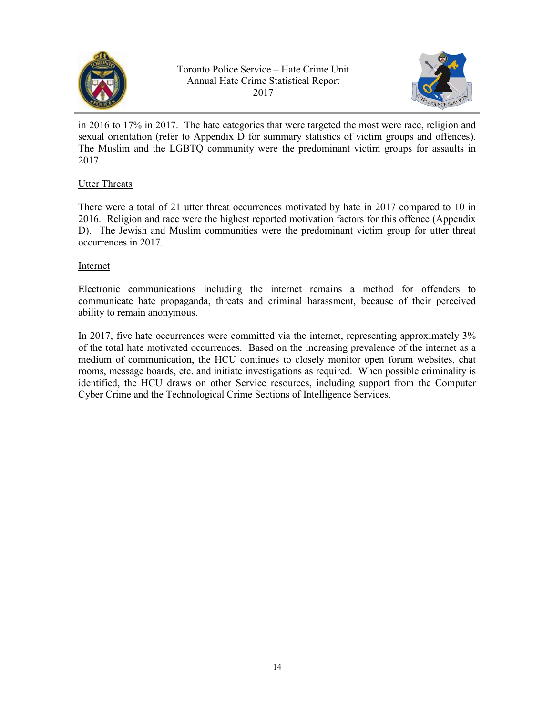<span id="page-13-0"></span>



in 2016 to 17% in 2017. The hate categories that were targeted the most were race, religion and sexual orientation (refer to Appendix D for summary statistics of victim groups and offences). The Muslim and the LGBTQ community were the predominant victim groups for assaults in 2017.

## Utter Threats

There were a total of 21 utter threat occurrences motivated by hate in 2017 compared to 10 in 2016. Religion and race were the highest reported motivation factors for this offence (Appendix D). The Jewish and Muslim communities were the predominant victim group for utter threat occurrences in 2017.

## Internet

Electronic communications including the internet remains a method for offenders to communicate hate propaganda, threats and criminal harassment, because of their perceived ability to remain anonymous.

In 2017, five hate occurrences were committed via the internet, representing approximately 3% of the total hate motivated occurrences. Based on the increasing prevalence of the internet as a medium of communication, the HCU continues to closely monitor open forum websites, chat rooms, message boards, etc. and initiate investigations as required. When possible criminality is identified, the HCU draws on other Service resources, including support from the Computer Cyber Crime and the Technological Crime Sections of Intelligence Services.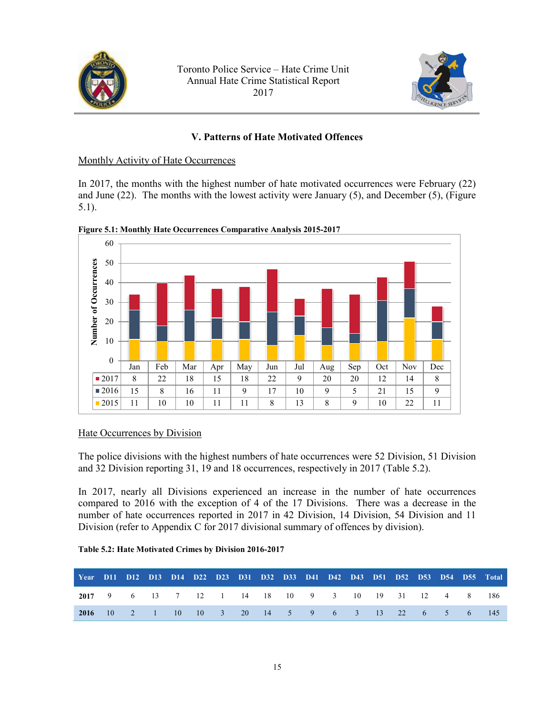<span id="page-14-0"></span>



## **V. Patterns of Hate Motivated Offences**

#### Monthly Activity of Hate Occurrences

In 2017, the months with the highest number of hate motivated occurrences were February (22) and June (22). The months with the lowest activity were January (5), and December (5), (Figure 5.1).



**Figure 5.1: Monthly Hate Occurrences Comparative Analysis 2015-2017**

## Hate Occurrences by Division

The police divisions with the highest numbers of hate occurrences were 52 Division, 51 Division and 32 Division reporting 31, 19 and 18 occurrences, respectively in 2017 (Table 5.2).

In 2017, nearly all Divisions experienced an increase in the number of hate occurrences compared to 2016 with the exception of 4 of the 17 Divisions. There was a decrease in the number of hate occurrences reported in 2017 in 42 Division, 14 Division, 54 Division and 11 Division (refer to Appendix C for 2017 divisional summary of offences by division).

|                                                     |                                                   |  |  |  |  |  |  |  | Year D11 D12 D13 D14 D22 D23 D31 D32 D33 D41 D42 D43 D51 D52 D53 D54 D55 Total |
|-----------------------------------------------------|---------------------------------------------------|--|--|--|--|--|--|--|--------------------------------------------------------------------------------|
| 2017 9 6 13 7 12 1 14 18 10 9 3 10 19 31 12 4 8 186 |                                                   |  |  |  |  |  |  |  |                                                                                |
|                                                     | 2016 10 2 1 10 10 3 20 14 5 9 6 3 13 22 6 5 6 145 |  |  |  |  |  |  |  |                                                                                |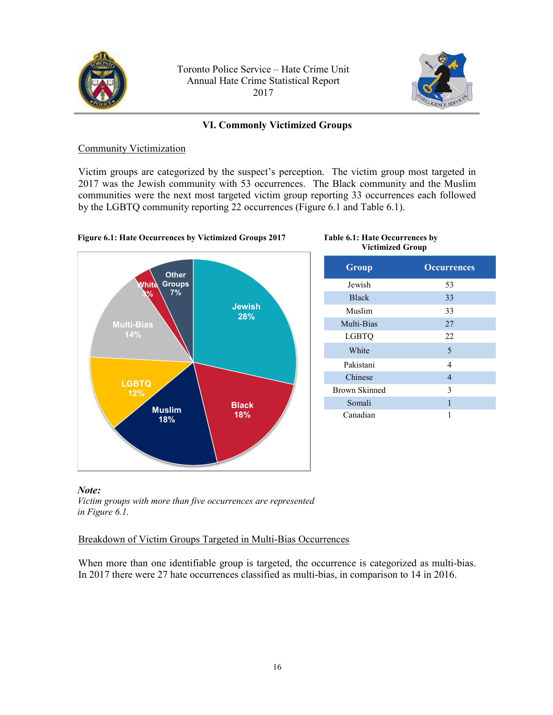<span id="page-15-0"></span>



## **VI. Commonly Victimized Groups**

#### Community Victimization

Victim groups are categorized by the suspect's perception. The victim group most targeted in 2017 was the Jewish community with 53 occurrences. The Black community and the Muslim communities were the next most targeted victim group reporting 33 occurrences each followed by the LGBTQ community reporting 22 occurrences (Figure 6.1 and Table 6.1).



| <b>Victimized Group</b> |                    |
|-------------------------|--------------------|
| Group                   | <b>Occurrences</b> |
| Jewish                  | 53                 |
| <b>Black</b>            | 33                 |
| Muslim                  | 33                 |
| Multi-Bias              | 27                 |
| LGBTQ                   | 22                 |
| White                   | 5                  |
| Pakistani               | 4                  |
| Chinese                 | 4                  |
| <b>Brown Skinned</b>    | 3                  |
| Somali                  | 1                  |
| Canadian                | 1                  |

**Table 6.1: Hate Occurrences by** 

#### *Note:*

*Victim groups with more than five occurrences are represented in Figure 6.1.*

## Breakdown of Victim Groups Targeted in Multi-Bias Occurrences

When more than one identifiable group is targeted, the occurrence is categorized as multi-bias. In 2017 there were 27 hate occurrences classified as multi-bias, in comparison to 14 in 2016.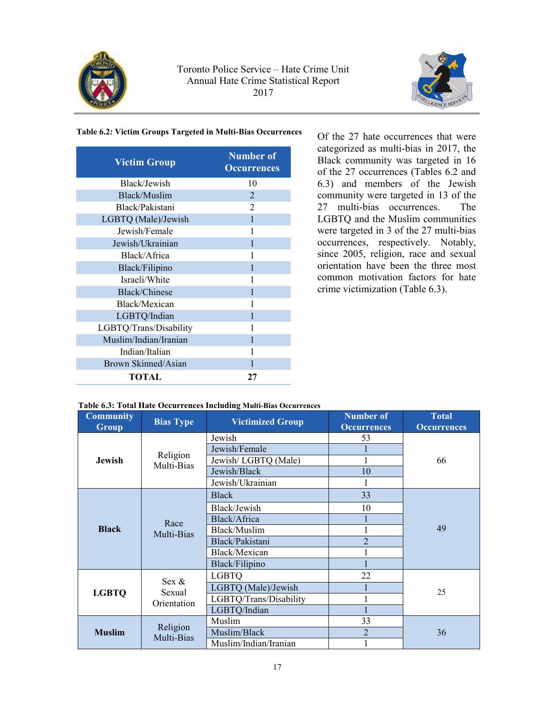



#### **Table 6.2: Victim Groups Targeted in Multi-Bias Occurrences**

| <b>Victim Group</b>    | <b>Number</b> of<br><b>Occurrences</b> |
|------------------------|----------------------------------------|
| Black/Jewish           | 10                                     |
| Black/Muslim           | 2                                      |
| Black/Pakistani        | $\overline{2}$                         |
| LGBTQ (Male)/Jewish    | 1                                      |
| Jewish/Female          | 1                                      |
| Jewish/Ukrainian       |                                        |
| Black/Africa           |                                        |
| Black/Filipino         |                                        |
| Israeli/White          | 1                                      |
| <b>Black/Chinese</b>   |                                        |
| Black/Mexican          | 1                                      |
| LGBTQ/Indian           |                                        |
| LGBTQ/Trans/Disability |                                        |
| Muslim/Indian/Iranian  |                                        |
| Indian/Italian         |                                        |
| Brown Skinned/Asian    |                                        |
| TOTAL                  | 27                                     |

Of the 27 hate occurrences that were categorized as multi-bias in 2017, the Black community was targeted in 16 of the 27 occurrences (Tables 6.2 and 6.3) and members of the Jewish community were targeted in 13 of the 27 multi-bias occurrences. The LGBTQ and the Muslim communities were targeted in 3 of the 27 multi-bias occurrences, respectively. Notably, since 2005, religion, race and sexual orientation have been the three most common motivation factors for hate crime victimization (Table 6.3).

#### **Table 6.3: Total Hate Occurrences Including Multi-Bias Occurrences**

| <b>Community</b><br><b>Group</b> | <b>Bias Type</b>       | <b>Victimized Group</b> | <b>Number of</b><br><b>Occurrences</b> | <b>Total</b><br><b>Occurrences</b> |  |  |  |  |
|----------------------------------|------------------------|-------------------------|----------------------------------------|------------------------------------|--|--|--|--|
|                                  |                        | Jewish                  | 53                                     |                                    |  |  |  |  |
|                                  |                        | Jewish/Female           |                                        |                                    |  |  |  |  |
| Jewish                           | Religion<br>Multi-Bias | Jewish/LGBTQ (Male)     |                                        | 66                                 |  |  |  |  |
|                                  |                        | Jewish/Black            | 10                                     |                                    |  |  |  |  |
|                                  |                        | Jewish/Ukrainian        |                                        |                                    |  |  |  |  |
|                                  |                        | <b>Black</b>            | 33                                     |                                    |  |  |  |  |
|                                  |                        | Black/Jewish            | 10                                     |                                    |  |  |  |  |
|                                  | Race                   | Black/Africa            |                                        |                                    |  |  |  |  |
| <b>Black</b>                     | Multi-Bias             | Black/Muslim            |                                        | 49                                 |  |  |  |  |
|                                  |                        | Black/Pakistani         | $\overline{2}$                         |                                    |  |  |  |  |
|                                  |                        | Black/Mexican           |                                        |                                    |  |  |  |  |
|                                  |                        | Black/Filipino          |                                        |                                    |  |  |  |  |
|                                  | $Sex \&$               | <b>LGBTQ</b>            | 22                                     |                                    |  |  |  |  |
| <b>LGBTQ</b>                     | Sexual                 | LGBTQ (Male)/Jewish     |                                        | 25                                 |  |  |  |  |
|                                  | Orientation            | LGBTQ/Trans/Disability  |                                        |                                    |  |  |  |  |
|                                  |                        | LGBTQ/Indian            |                                        |                                    |  |  |  |  |
|                                  | Religion               | Muslim                  | 33                                     |                                    |  |  |  |  |
| <b>Muslim</b>                    | Multi-Bias             | Muslim/Black            | $\overline{2}$                         | 36                                 |  |  |  |  |
|                                  |                        | Muslim/Indian/Iranian   |                                        |                                    |  |  |  |  |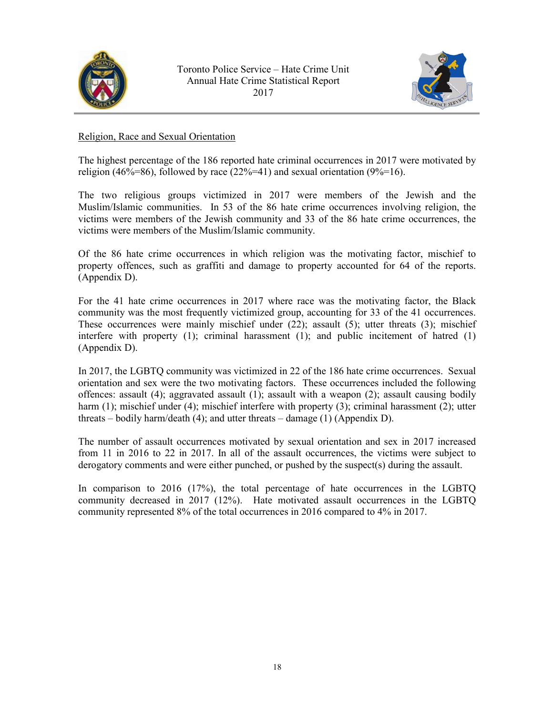<span id="page-17-0"></span>



## Religion, Race and Sexual Orientation

The highest percentage of the 186 reported hate criminal occurrences in 2017 were motivated by religion (46%=86), followed by race (22%=41) and sexual orientation (9%=16).

The two religious groups victimized in 2017 were members of the Jewish and the Muslim/Islamic communities. In 53 of the 86 hate crime occurrences involving religion, the victims were members of the Jewish community and 33 of the 86 hate crime occurrences, the victims were members of the Muslim/Islamic community.

Of the 86 hate crime occurrences in which religion was the motivating factor, mischief to property offences, such as graffiti and damage to property accounted for 64 of the reports. (Appendix D).

For the 41 hate crime occurrences in 2017 where race was the motivating factor, the Black community was the most frequently victimized group, accounting for 33 of the 41 occurrences. These occurrences were mainly mischief under (22); assault (5); utter threats (3); mischief interfere with property (1); criminal harassment (1); and public incitement of hatred (1) (Appendix D).

In 2017, the LGBTQ community was victimized in 22 of the 186 hate crime occurrences. Sexual orientation and sex were the two motivating factors. These occurrences included the following offences: assault (4); aggravated assault (1); assault with a weapon (2); assault causing bodily harm (1); mischief under (4); mischief interfere with property (3); criminal harassment (2); utter threats – bodily harm/death (4); and utter threats – damage (1) (Appendix D).

The number of assault occurrences motivated by sexual orientation and sex in 2017 increased from 11 in 2016 to 22 in 2017. In all of the assault occurrences, the victims were subject to derogatory comments and were either punched, or pushed by the suspect(s) during the assault.

In comparison to 2016 (17%), the total percentage of hate occurrences in the LGBTQ community decreased in 2017 (12%). Hate motivated assault occurrences in the LGBTQ community represented 8% of the total occurrences in 2016 compared to 4% in 2017.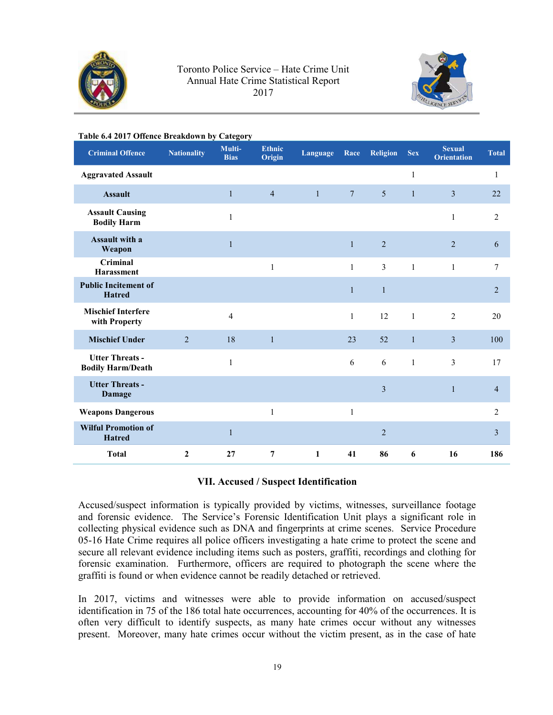<span id="page-18-0"></span>



| Table 6.4 2017 Offence Breakdown by Category       |                    |                       |                         |              |                 |                 |              |                                     |                |
|----------------------------------------------------|--------------------|-----------------------|-------------------------|--------------|-----------------|-----------------|--------------|-------------------------------------|----------------|
| <b>Criminal Offence</b>                            | <b>Nationality</b> | Multi-<br><b>Bias</b> | <b>Ethnic</b><br>Origin | Language     | Race            | <b>Religion</b> | <b>Sex</b>   | <b>Sexual</b><br><b>Orientation</b> | <b>Total</b>   |
| <b>Aggravated Assault</b>                          |                    |                       |                         |              |                 |                 | $\mathbf{1}$ |                                     | $\mathbf{1}$   |
| <b>Assault</b>                                     |                    | $\mathbf{1}$          | $\overline{4}$          | $\mathbf{1}$ | $7\phantom{.0}$ | 5               | $\mathbf{1}$ | $\overline{3}$                      | 22             |
| <b>Assault Causing</b><br><b>Bodily Harm</b>       |                    | 1                     |                         |              |                 |                 |              | 1                                   | 2              |
| Assault with a<br>Weapon                           |                    | 1                     |                         |              | $\mathbf{1}$    | $\overline{2}$  |              | $\overline{2}$                      | 6              |
| Criminal<br><b>Harassment</b>                      |                    |                       | $\mathbf{1}$            |              | $\mathbf{1}$    | 3               | $\mathbf{1}$ | $\mathbf{1}$                        | 7              |
| <b>Public Incitement of</b><br><b>Hatred</b>       |                    |                       |                         |              | $\mathbf{1}$    | $\mathbf{1}$    |              |                                     | $\overline{2}$ |
| <b>Mischief Interfere</b><br>with Property         |                    | 4                     |                         |              | $\mathbf{1}$    | 12              | $\mathbf{1}$ | $\overline{2}$                      | 20             |
| <b>Mischief Under</b>                              | 2                  | 18                    | $\mathbf{1}$            |              | 23              | 52              | $\mathbf{1}$ | 3                                   | 100            |
| <b>Utter Threats -</b><br><b>Bodily Harm/Death</b> |                    | 1                     |                         |              | 6               | 6               | $\mathbf{1}$ | 3                                   | 17             |
| <b>Utter Threats -</b><br>Damage                   |                    |                       |                         |              |                 | 3               |              | $\mathbf{1}$                        | $\overline{4}$ |
| <b>Weapons Dangerous</b>                           |                    |                       | $\mathbf{1}$            |              | $\mathbf{1}$    |                 |              |                                     | $\overline{2}$ |
| <b>Wilful Promotion of</b><br><b>Hatred</b>        |                    | 1                     |                         |              |                 | $\overline{2}$  |              |                                     | 3              |
| <b>Total</b>                                       | $\mathbf{2}$       | 27                    | 7                       | 1            | 41              | 86              | 6            | 16                                  | 186            |

#### **VII. Accused / Suspect Identification**

Accused/suspect information is typically provided by victims, witnesses, surveillance footage and forensic evidence. The Service's Forensic Identification Unit plays a significant role in collecting physical evidence such as DNA and fingerprints at crime scenes. Service Procedure 05-16 Hate Crime requires all police officers investigating a hate crime to protect the scene and secure all relevant evidence including items such as posters, graffiti, recordings and clothing for forensic examination. Furthermore, officers are required to photograph the scene where the graffiti is found or when evidence cannot be readily detached or retrieved.

In 2017, victims and witnesses were able to provide information on accused/suspect identification in 75 of the 186 total hate occurrences, accounting for 40% of the occurrences. It is often very difficult to identify suspects, as many hate crimes occur without any witnesses present. Moreover, many hate crimes occur without the victim present, as in the case of hate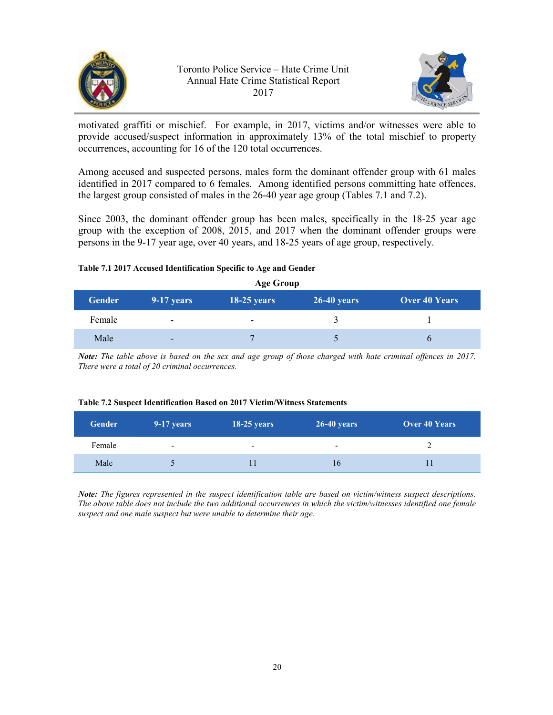



motivated graffiti or mischief. For example, in 2017, victims and/or witnesses were able to provide accused/suspect information in approximately 13% of the total mischief to property occurrences, accounting for 16 of the 120 total occurrences.

Among accused and suspected persons, males form the dominant offender group with 61 males identified in 2017 compared to 6 females. Among identified persons committing hate offences, the largest group consisted of males in the 26-40 year age group (Tables 7.1 and 7.2).

Since 2003, the dominant offender group has been males, specifically in the 18-25 year age group with the exception of 2008, 2015, and 2017 when the dominant offender groups were persons in the 9-17 year age, over 40 years, and 18-25 years of age group, respectively.

#### **Table 7.1 2017 Accused Identification Specific to Age and Gender**

**Age Group Gender 9-17 years 18-25 years 26-40 years Over 40 Years** Female **1** - 2 1 Male  $\begin{array}{ccccccc} 7 & 5 & 6 \end{array}$ 

*Note: The table above is based on the sex and age group of those charged with hate criminal offences in 2017. There were a total of 20 criminal occurrences.*

#### **Table 7.2 Suspect Identification Based on 2017 Victim/Witness Statements**

| <b>Gender</b> | 9-17 years               | <b>18-25 years</b>       | $26-40$ years            | <b>Over 40 Years</b> |
|---------------|--------------------------|--------------------------|--------------------------|----------------------|
| Female        | $\overline{\phantom{0}}$ | $\overline{\phantom{0}}$ | $\overline{\phantom{a}}$ |                      |
| Male          |                          |                          | 16                       |                      |

*Note: The figures represented in the suspect identification table are based on victim/witness suspect descriptions. The above table does not include the two additional occurrences in which the victim/witnesses identified one female suspect and one male suspect but were unable to determine their age.*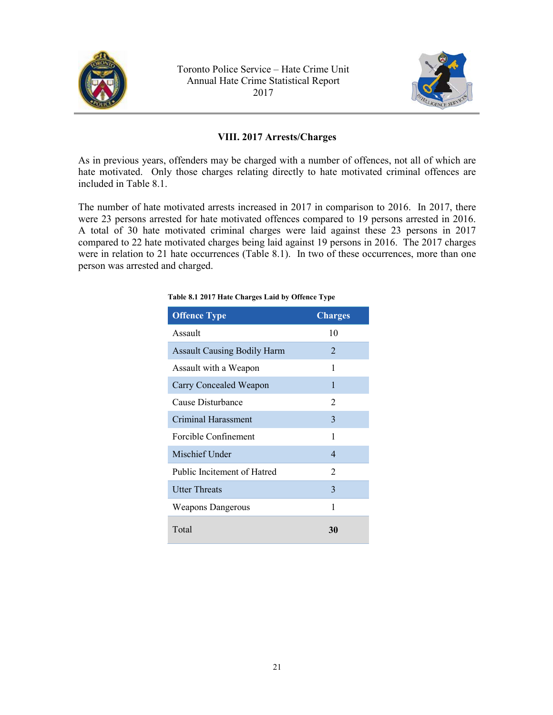<span id="page-20-0"></span>



## **VIII. 2017 Arrests/Charges**

As in previous years, offenders may be charged with a number of offences, not all of which are hate motivated. Only those charges relating directly to hate motivated criminal offences are included in Table 8.1.

The number of hate motivated arrests increased in 2017 in comparison to 2016. In 2017, there were 23 persons arrested for hate motivated offences compared to 19 persons arrested in 2016. A total of 30 hate motivated criminal charges were laid against these 23 persons in 2017 compared to 22 hate motivated charges being laid against 19 persons in 2016. The 2017 charges were in relation to 21 hate occurrences (Table 8.1). In two of these occurrences, more than one person was arrested and charged.

| <b>Offence Type</b>                | <b>Charges</b> |
|------------------------------------|----------------|
| Assault                            | 10             |
| <b>Assault Causing Bodily Harm</b> | 2              |
| Assault with a Weapon              | 1              |
| Carry Concealed Weapon             | 1              |
| Cause Disturbance                  | 2              |
| Criminal Harassment                | 3              |
| Forcible Confinement               | 1              |
| Mischief Under                     | $\overline{4}$ |
| Public Incitement of Hatred        | 2              |
| <b>Utter Threats</b>               | 3              |
| <b>Weapons Dangerous</b>           | 1              |
| Total                              | 30             |

#### **Table 8.1 2017 Hate Charges Laid by Offence Type**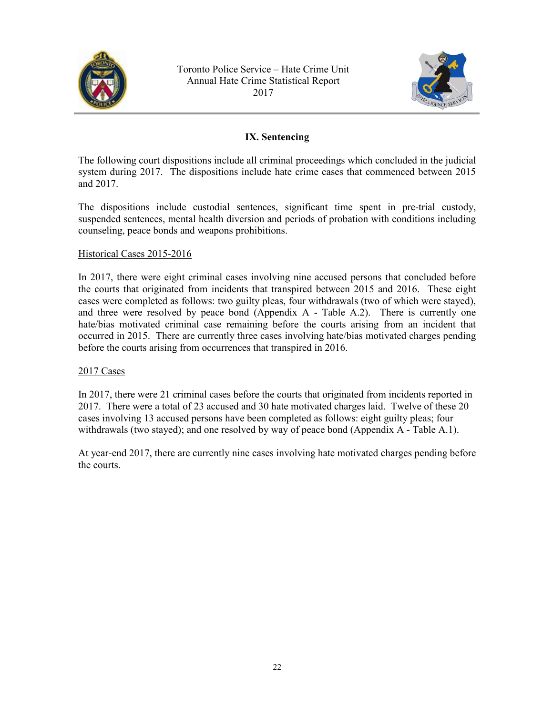<span id="page-21-0"></span>



## **IX. Sentencing**

The following court dispositions include all criminal proceedings which concluded in the judicial system during 2017. The dispositions include hate crime cases that commenced between 2015 and 2017.

The dispositions include custodial sentences, significant time spent in pre-trial custody, suspended sentences, mental health diversion and periods of probation with conditions including counseling, peace bonds and weapons prohibitions.

## Historical Cases 2015-2016

In 2017, there were eight criminal cases involving nine accused persons that concluded before the courts that originated from incidents that transpired between 2015 and 2016. These eight cases were completed as follows: two guilty pleas, four withdrawals (two of which were stayed), and three were resolved by peace bond (Appendix A - Table A.2). There is currently one hate/bias motivated criminal case remaining before the courts arising from an incident that occurred in 2015. There are currently three cases involving hate/bias motivated charges pending before the courts arising from occurrences that transpired in 2016.

#### 2017 Cases

In 2017, there were 21 criminal cases before the courts that originated from incidents reported in 2017. There were a total of 23 accused and 30 hate motivated charges laid. Twelve of these 20 cases involving 13 accused persons have been completed as follows: eight guilty pleas; four withdrawals (two stayed); and one resolved by way of peace bond (Appendix A - Table A.1).

At year-end 2017, there are currently nine cases involving hate motivated charges pending before the courts.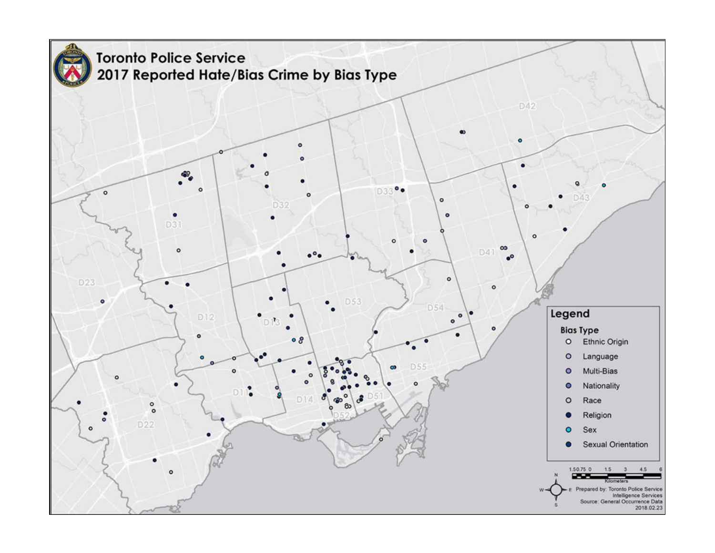<span id="page-22-0"></span>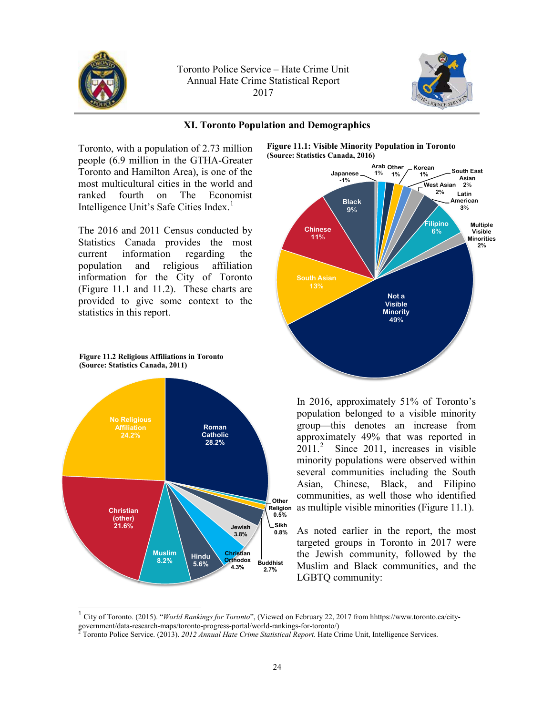<span id="page-23-0"></span>



#### **XI. Toronto Population and Demographics**

Toronto, with a population of 2.73 million people (6.9 million in the GTHA-Greater Toronto and Hamilton Area), is one of the most multicultural cities in the world and ranked fourth on The Economist Intelligence Unit's Safe Cities Index.<sup>1</sup>

The 2016 and 2011 Census conducted by Statistics Canada provides the most current information regarding the population and religious affiliation information for the City of Toronto (Figure 11.1 and 11.2). These charts are provided to give some context to the statistics in this report.



 $\overline{a}$ 







**Religion** as multiple visible minorities (Figure 11.1). In 2016, approximately 51% of Toronto's population belonged to a visible minority group—this denotes an increase from approximately 49% that was reported in 2011.<sup>2</sup> Since 2011, increases in visible minority populations were observed within several communities including the South Asian, Chinese, Black, and Filipino communities, as well those who identified

> As noted earlier in the report, the most targeted groups in Toronto in 2017 were the Jewish community, followed by the Muslim and Black communities, and the LGBTQ community:

<sup>1</sup> City of Toronto. (2015). "*World Rankings for Toronto*", (Viewed on February 22, 2017 from hhttps://www.toronto.ca/citygovernment/data-research-maps/toronto-progress-portal/world-rankings-for-toronto/)<br><sup>2</sup> Toronto Police Service. (2013). *2012 Annual Hate Crime Statistical Report*. Hate Crime Unit, Intelligence Services.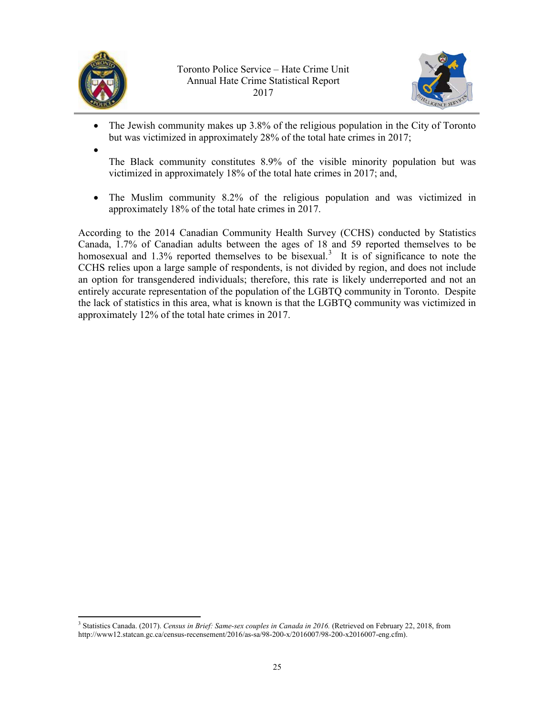



- The Jewish community makes up 3.8% of the religious population in the City of Toronto but was victimized in approximately 28% of the total hate crimes in 2017;
- •

The Black community constitutes 8.9% of the visible minority population but was victimized in approximately 18% of the total hate crimes in 2017; and,

• The Muslim community 8.2% of the religious population and was victimized in approximately 18% of the total hate crimes in 2017.

According to the 2014 Canadian Community Health Survey (CCHS) conducted by Statistics Canada, 1.7% of Canadian adults between the ages of 18 and 59 reported themselves to be homosexual and  $1.3\%$  reported themselves to be bisexual.<sup>3</sup> It is of significance to note the CCHS relies upon a large sample of respondents, is not divided by region, and does not include an option for transgendered individuals; therefore, this rate is likely underreported and not an entirely accurate representation of the population of the LGBTQ community in Toronto. Despite the lack of statistics in this area, what is known is that the LGBTQ community was victimized in approximately 12% of the total hate crimes in 2017.

 $\overline{a}$ <sup>3</sup> Statistics Canada. (2017). *Census in Brief: Same-sex couples in Canada in 2016.* (Retrieved on February 22, 2018, from http://www12.statcan.gc.ca/census-recensement/2016/as-sa/98-200-x/2016007/98-200-x2016007-eng.cfm).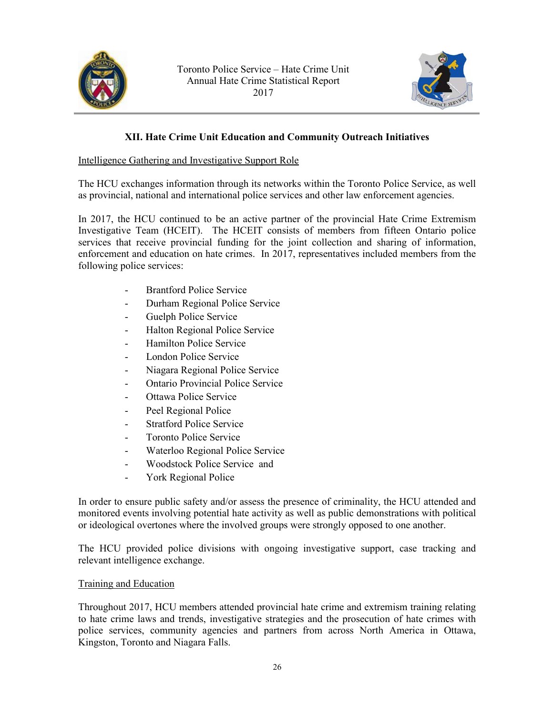<span id="page-25-0"></span>



## **XII. Hate Crime Unit Education and Community Outreach Initiatives**

#### Intelligence Gathering and Investigative Support Role

The HCU exchanges information through its networks within the Toronto Police Service, as well as provincial, national and international police services and other law enforcement agencies.

In 2017, the HCU continued to be an active partner of the provincial Hate Crime Extremism Investigative Team (HCEIT). The HCEIT consists of members from fifteen Ontario police services that receive provincial funding for the joint collection and sharing of information, enforcement and education on hate crimes. In 2017, representatives included members from the following police services:

- Brantford Police Service
- Durham Regional Police Service
- Guelph Police Service
- Halton Regional Police Service
- Hamilton Police Service
- London Police Service
- Niagara Regional Police Service
- Ontario Provincial Police Service
- Ottawa Police Service
- Peel Regional Police
- Stratford Police Service
- Toronto Police Service
- Waterloo Regional Police Service
- Woodstock Police Service and
- York Regional Police

In order to ensure public safety and/or assess the presence of criminality, the HCU attended and monitored events involving potential hate activity as well as public demonstrations with political or ideological overtones where the involved groups were strongly opposed to one another.

The HCU provided police divisions with ongoing investigative support, case tracking and relevant intelligence exchange.

#### Training and Education

Throughout 2017, HCU members attended provincial hate crime and extremism training relating to hate crime laws and trends, investigative strategies and the prosecution of hate crimes with police services, community agencies and partners from across North America in Ottawa, Kingston, Toronto and Niagara Falls.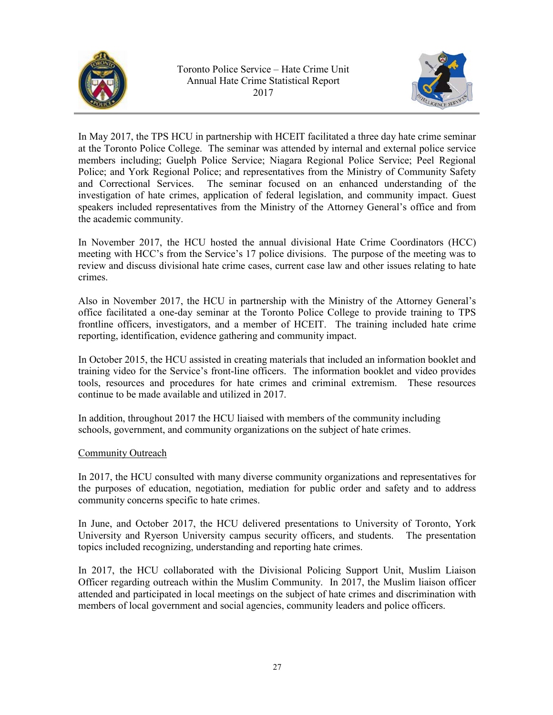<span id="page-26-0"></span>



In May 2017, the TPS HCU in partnership with HCEIT facilitated a three day hate crime seminar at the Toronto Police College. The seminar was attended by internal and external police service members including; Guelph Police Service; Niagara Regional Police Service; Peel Regional Police; and York Regional Police; and representatives from the Ministry of Community Safety and Correctional Services. The seminar focused on an enhanced understanding of the investigation of hate crimes, application of federal legislation, and community impact. Guest speakers included representatives from the Ministry of the Attorney General's office and from the academic community.

In November 2017, the HCU hosted the annual divisional Hate Crime Coordinators (HCC) meeting with HCC's from the Service's 17 police divisions. The purpose of the meeting was to review and discuss divisional hate crime cases, current case law and other issues relating to hate crimes.

Also in November 2017, the HCU in partnership with the Ministry of the Attorney General's office facilitated a one-day seminar at the Toronto Police College to provide training to TPS frontline officers, investigators, and a member of HCEIT. The training included hate crime reporting, identification, evidence gathering and community impact.

In October 2015, the HCU assisted in creating materials that included an information booklet and training video for the Service's front-line officers. The information booklet and video provides tools, resources and procedures for hate crimes and criminal extremism. These resources continue to be made available and utilized in 2017.

In addition, throughout 2017 the HCU liaised with members of the community including schools, government, and community organizations on the subject of hate crimes.

## Community Outreach

In 2017, the HCU consulted with many diverse community organizations and representatives for the purposes of education, negotiation, mediation for public order and safety and to address community concerns specific to hate crimes.

In June, and October 2017, the HCU delivered presentations to University of Toronto, York University and Ryerson University campus security officers, and students. The presentation topics included recognizing, understanding and reporting hate crimes.

In 2017, the HCU collaborated with the Divisional Policing Support Unit, Muslim Liaison Officer regarding outreach within the Muslim Community. In 2017, the Muslim liaison officer attended and participated in local meetings on the subject of hate crimes and discrimination with members of local government and social agencies, community leaders and police officers.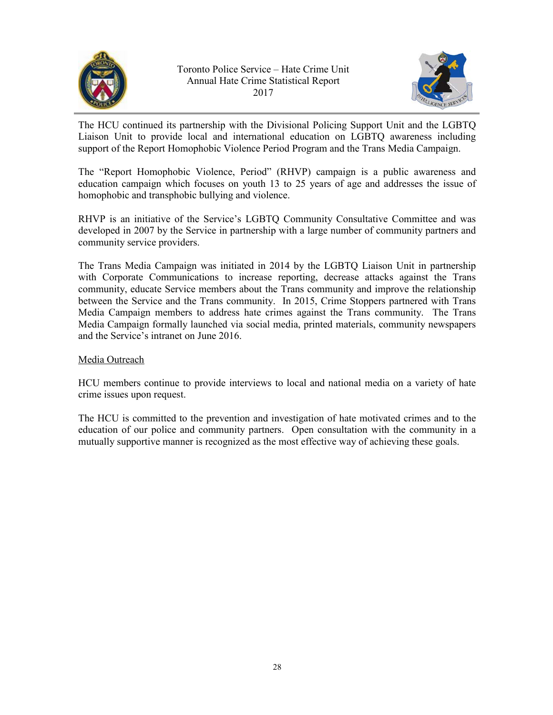<span id="page-27-0"></span>



The HCU continued its partnership with the Divisional Policing Support Unit and the LGBTQ Liaison Unit to provide local and international education on LGBTQ awareness including support of the Report Homophobic Violence Period Program and the Trans Media Campaign.

The "Report Homophobic Violence, Period" (RHVP) campaign is a public awareness and education campaign which focuses on youth 13 to 25 years of age and addresses the issue of homophobic and transphobic bullying and violence.

RHVP is an initiative of the Service's LGBTQ Community Consultative Committee and was developed in 2007 by the Service in partnership with a large number of community partners and community service providers.

The Trans Media Campaign was initiated in 2014 by the LGBTQ Liaison Unit in partnership with Corporate Communications to increase reporting, decrease attacks against the Trans community, educate Service members about the Trans community and improve the relationship between the Service and the Trans community. In 2015, Crime Stoppers partnered with Trans Media Campaign members to address hate crimes against the Trans community. The Trans Media Campaign formally launched via social media, printed materials, community newspapers and the Service's intranet on June 2016.

## Media Outreach

HCU members continue to provide interviews to local and national media on a variety of hate crime issues upon request.

The HCU is committed to the prevention and investigation of hate motivated crimes and to the education of our police and community partners. Open consultation with the community in a mutually supportive manner is recognized as the most effective way of achieving these goals.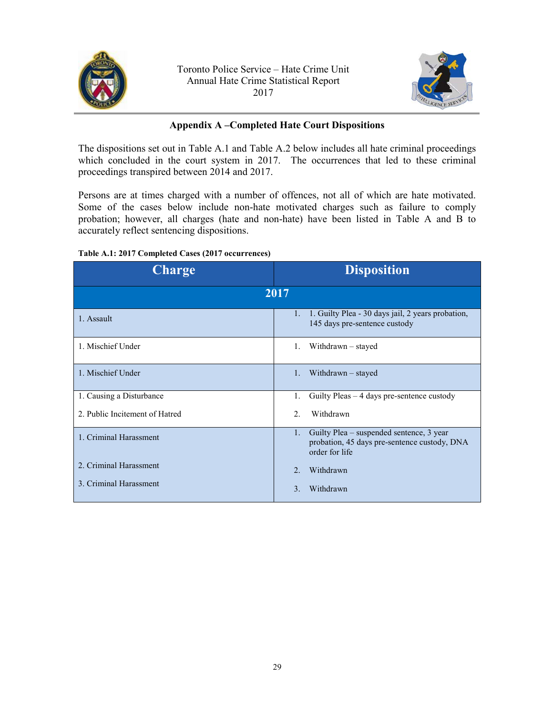<span id="page-28-0"></span>



#### **Appendix A –Completed Hate Court Dispositions**

The dispositions set out in Table A.1 and Table A.2 below includes all hate criminal proceedings which concluded in the court system in 2017. The occurrences that led to these criminal proceedings transpired between 2014 and 2017.

Persons are at times charged with a number of offences, not all of which are hate motivated. Some of the cases below include non-hate motivated charges such as failure to comply probation; however, all charges (hate and non-hate) have been listed in Table A and B to accurately reflect sentencing dispositions.

#### **Table A.1: 2017 Completed Cases (2017 occurrences)**

| <b>Charge</b>                                    | <b>Disposition</b>                                                                                                        |
|--------------------------------------------------|---------------------------------------------------------------------------------------------------------------------------|
|                                                  | 2017                                                                                                                      |
| 1. Assault                                       | 1. Guilty Plea - 30 days jail, 2 years probation,<br>$1_{-}$<br>145 days pre-sentence custody                             |
| 1. Mischief Under                                | Withdrawn – stayed<br>$1_{-}$                                                                                             |
| 1. Mischief Under                                | Withdrawn – stayed<br>1.                                                                                                  |
| 1. Causing a Disturbance                         | Guilty Pleas $-4$ days pre-sentence custody<br>1.                                                                         |
| 2. Public Incitement of Hatred                   | $\mathfrak{D}$<br>Withdrawn                                                                                               |
| 1. Criminal Harassment                           | Guilty Plea – suspended sentence, 3 year<br>$1_{\cdot}$<br>probation, 45 days pre-sentence custody, DNA<br>order for life |
| 2. Criminal Harassment<br>3. Criminal Harassment | Withdrawn<br>$\mathcal{L}$<br>Withdrawn<br>$\mathcal{F}$                                                                  |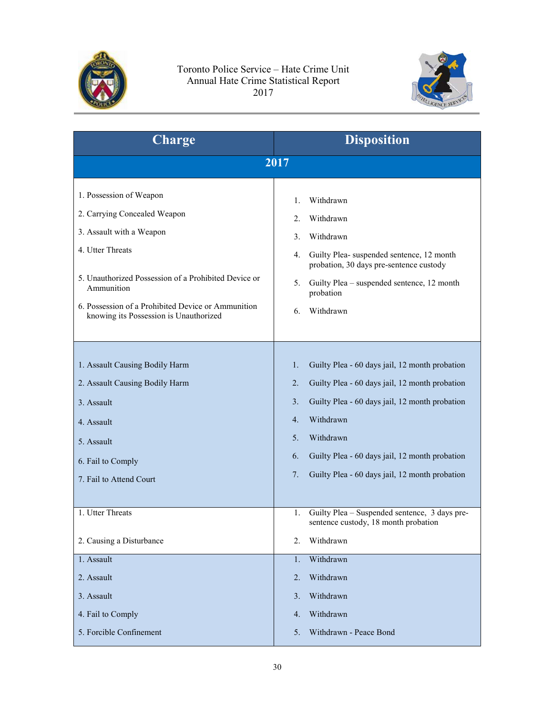



| Withdrawn<br>Withdrawn<br>Withdrawn<br>Guilty Plea- suspended sentence, 12 month<br>probation, 30 days pre-sentence custody                                                                                                                                                      |
|----------------------------------------------------------------------------------------------------------------------------------------------------------------------------------------------------------------------------------------------------------------------------------|
|                                                                                                                                                                                                                                                                                  |
|                                                                                                                                                                                                                                                                                  |
| Guilty Plea – suspended sentence, 12 month<br>probation<br>Withdrawn                                                                                                                                                                                                             |
| Guilty Plea - 60 days jail, 12 month probation<br>Guilty Plea - 60 days jail, 12 month probation<br>Guilty Plea - 60 days jail, 12 month probation<br>Withdrawn<br>Withdrawn<br>Guilty Plea - 60 days jail, 12 month probation<br>Guilty Plea - 60 days jail, 12 month probation |
| Guilty Plea - Suspended sentence, 3 days pre-<br>sentence custody, 18 month probation<br>Withdrawn                                                                                                                                                                               |
| Withdrawn<br>Withdrawn                                                                                                                                                                                                                                                           |
|                                                                                                                                                                                                                                                                                  |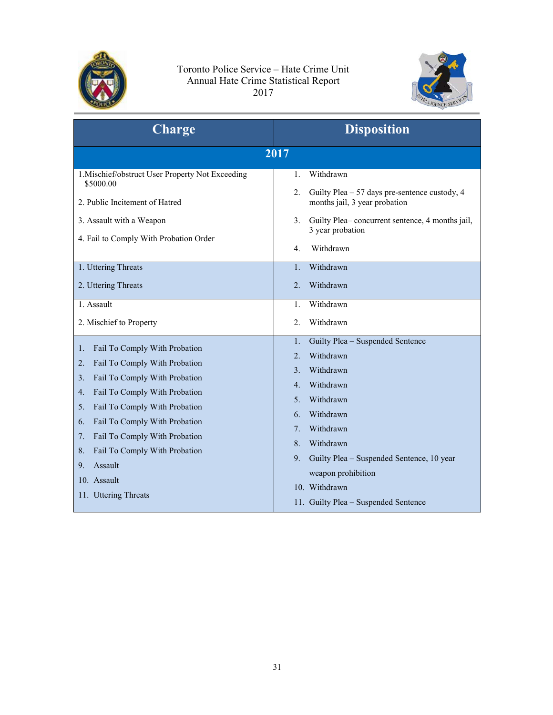



| <b>Charge</b>                                                                                                                                                                                                                                                                                                                                                                | <b>Disposition</b>                                                                                                                                                                                                                                                                                                                                                 |
|------------------------------------------------------------------------------------------------------------------------------------------------------------------------------------------------------------------------------------------------------------------------------------------------------------------------------------------------------------------------------|--------------------------------------------------------------------------------------------------------------------------------------------------------------------------------------------------------------------------------------------------------------------------------------------------------------------------------------------------------------------|
|                                                                                                                                                                                                                                                                                                                                                                              | 2017                                                                                                                                                                                                                                                                                                                                                               |
| 1. Mischief/obstruct User Property Not Exceeding<br>\$5000.00<br>2. Public Incitement of Hatred<br>3. Assault with a Weapon<br>4. Fail to Comply With Probation Order                                                                                                                                                                                                        | Withdrawn<br>$\mathbf{1}$ .<br>2.<br>Guilty Plea - 57 days pre-sentence custody, 4<br>months jail, 3 year probation<br>Guilty Plea-concurrent sentence, 4 months jail,<br>3.<br>3 year probation<br>Withdrawn<br>4.                                                                                                                                                |
| 1. Uttering Threats<br>2. Uttering Threats                                                                                                                                                                                                                                                                                                                                   | Withdrawn<br>1.<br>Withdrawn<br>$\overline{2}$ .                                                                                                                                                                                                                                                                                                                   |
| 1. Assault<br>2. Mischief to Property                                                                                                                                                                                                                                                                                                                                        | Withdrawn<br>1.<br>Withdrawn<br>$\overline{2}$ .                                                                                                                                                                                                                                                                                                                   |
| Fail To Comply With Probation<br>1.<br>Fail To Comply With Probation<br>2.<br>Fail To Comply With Probation<br>3.<br>Fail To Comply With Probation<br>4.<br>Fail To Comply With Probation<br>5.<br>Fail To Comply With Probation<br>6.<br>Fail To Comply With Probation<br>7.<br>Fail To Comply With Probation<br>8.<br>Assault<br>9.<br>10. Assault<br>11. Uttering Threats | Guilty Plea - Suspended Sentence<br>1.<br>Withdrawn<br>$\overline{2}$ .<br>Withdrawn<br>3.<br>Withdrawn<br>$4_{\cdot}$<br>Withdrawn<br>5.<br>Withdrawn<br>6.<br>Withdrawn<br>$7_{\scriptscriptstyle{\ddots}}$<br>Withdrawn<br>8.<br>Guilty Plea - Suspended Sentence, 10 year<br>9.<br>weapon prohibition<br>10. Withdrawn<br>11. Guilty Plea - Suspended Sentence |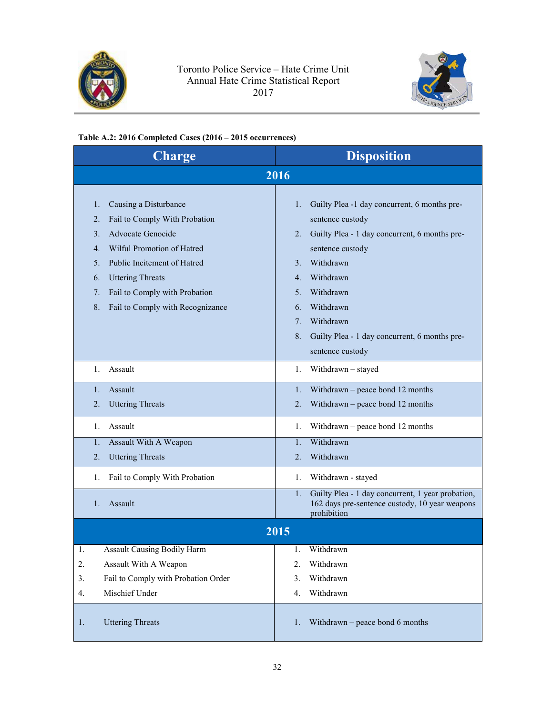



## **Table A.2: 2016 Completed Cases (2016 – 2015 occurrences)**

| <b>Charge</b>                                                                                                                                                                                                                                                                                                             | <b>Disposition</b>                                                                                                                                                                                                                                                                                                                   |
|---------------------------------------------------------------------------------------------------------------------------------------------------------------------------------------------------------------------------------------------------------------------------------------------------------------------------|--------------------------------------------------------------------------------------------------------------------------------------------------------------------------------------------------------------------------------------------------------------------------------------------------------------------------------------|
|                                                                                                                                                                                                                                                                                                                           | 2016                                                                                                                                                                                                                                                                                                                                 |
| 1.<br>Causing a Disturbance<br>$\overline{2}$ .<br>Fail to Comply With Probation<br><b>Advocate Genocide</b><br>3 <sub>1</sub><br>Wilful Promotion of Hatred<br>4.<br>5.<br>Public Incitement of Hatred<br><b>Uttering Threats</b><br>6.<br>7.<br>Fail to Comply with Probation<br>8.<br>Fail to Comply with Recognizance | Guilty Plea -1 day concurrent, 6 months pre-<br>1.<br>sentence custody<br>Guilty Plea - 1 day concurrent, 6 months pre-<br>2.<br>sentence custody<br>Withdrawn<br>3.<br>Withdrawn<br>$4_{\cdot}$<br>Withdrawn<br>5.<br>Withdrawn<br>6.<br>Withdrawn<br>7.<br>Guilty Plea - 1 day concurrent, 6 months pre-<br>8.<br>sentence custody |
| Assault                                                                                                                                                                                                                                                                                                                   | Withdrawn - stayed                                                                                                                                                                                                                                                                                                                   |
| 1.                                                                                                                                                                                                                                                                                                                        | 1.                                                                                                                                                                                                                                                                                                                                   |
| Assault                                                                                                                                                                                                                                                                                                                   | Withdrawn – peace bond 12 months                                                                                                                                                                                                                                                                                                     |
| 1.                                                                                                                                                                                                                                                                                                                        | 1.                                                                                                                                                                                                                                                                                                                                   |
| $\overline{2}$ .                                                                                                                                                                                                                                                                                                          | 2.                                                                                                                                                                                                                                                                                                                                   |
| <b>Uttering Threats</b>                                                                                                                                                                                                                                                                                                   | Withdrawn – peace bond 12 months                                                                                                                                                                                                                                                                                                     |
| Assault                                                                                                                                                                                                                                                                                                                   | Withdrawn – peace bond 12 months                                                                                                                                                                                                                                                                                                     |
| 1.                                                                                                                                                                                                                                                                                                                        | 1.                                                                                                                                                                                                                                                                                                                                   |
| $\mathbf{1}$ .                                                                                                                                                                                                                                                                                                            | Withdrawn                                                                                                                                                                                                                                                                                                                            |
| Assault With A Weapon                                                                                                                                                                                                                                                                                                     | $\mathbf{1}$ .                                                                                                                                                                                                                                                                                                                       |
| $\overline{2}$ .                                                                                                                                                                                                                                                                                                          | Withdrawn                                                                                                                                                                                                                                                                                                                            |
| <b>Uttering Threats</b>                                                                                                                                                                                                                                                                                                   | 2.                                                                                                                                                                                                                                                                                                                                   |
| 1.                                                                                                                                                                                                                                                                                                                        | Withdrawn - stayed                                                                                                                                                                                                                                                                                                                   |
| Fail to Comply With Probation                                                                                                                                                                                                                                                                                             | 1.                                                                                                                                                                                                                                                                                                                                   |
| 1.<br>Assault                                                                                                                                                                                                                                                                                                             | Guilty Plea - 1 day concurrent, 1 year probation,<br>1.<br>162 days pre-sentence custody, 10 year weapons<br>prohibition                                                                                                                                                                                                             |
|                                                                                                                                                                                                                                                                                                                           | 2015                                                                                                                                                                                                                                                                                                                                 |
| <b>Assault Causing Bodily Harm</b>                                                                                                                                                                                                                                                                                        | Withdrawn                                                                                                                                                                                                                                                                                                                            |
| 1.                                                                                                                                                                                                                                                                                                                        | 1.                                                                                                                                                                                                                                                                                                                                   |
| Assault With A Weapon                                                                                                                                                                                                                                                                                                     | Withdrawn                                                                                                                                                                                                                                                                                                                            |
| 2.                                                                                                                                                                                                                                                                                                                        | 2.                                                                                                                                                                                                                                                                                                                                   |
| Fail to Comply with Probation Order                                                                                                                                                                                                                                                                                       | Withdrawn                                                                                                                                                                                                                                                                                                                            |
| 3.                                                                                                                                                                                                                                                                                                                        | 3.                                                                                                                                                                                                                                                                                                                                   |
| Mischief Under                                                                                                                                                                                                                                                                                                            | Withdrawn                                                                                                                                                                                                                                                                                                                            |
| 4.                                                                                                                                                                                                                                                                                                                        | 4.                                                                                                                                                                                                                                                                                                                                   |
| <b>Uttering Threats</b>                                                                                                                                                                                                                                                                                                   | Withdrawn $-$ peace bond 6 months                                                                                                                                                                                                                                                                                                    |
| 1.                                                                                                                                                                                                                                                                                                                        | 1.                                                                                                                                                                                                                                                                                                                                   |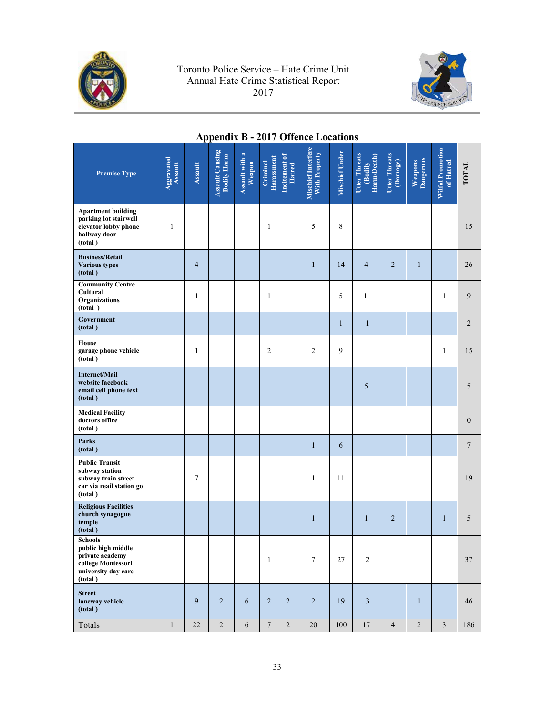<span id="page-32-0"></span>



# **Appendix B - 2017 Offence Locations**

| <b>Premise Type</b>                                                                                             | Aggravated<br><b>Assault</b> | <b>Assault</b> | <b>Assault Causing</b><br><b>Bodily Harm</b> | Assault with a<br>Weapon | <b>Harassment</b><br>Criminal | Incitement of<br>Hatred | Mischief Interfere<br>With Property | <b>Mischief Under</b> | Utter Threats<br>Harm/Death)<br>(Bodily | <b>Utter Threats</b><br>(Damage) | Dangerous<br>Weapons | <b>Wilful Promotion</b><br>of Hatred | TOTAL           |
|-----------------------------------------------------------------------------------------------------------------|------------------------------|----------------|----------------------------------------------|--------------------------|-------------------------------|-------------------------|-------------------------------------|-----------------------|-----------------------------------------|----------------------------------|----------------------|--------------------------------------|-----------------|
| <b>Apartment building</b><br>parking lot stairwell<br>elevator lobby phone<br>hallway door<br>(total)           | 1                            |                |                                              |                          | 1                             |                         | 5                                   | 8                     |                                         |                                  |                      |                                      | 15              |
| <b>Business/Retail</b><br><b>Various types</b><br>(total)                                                       |                              | $\overline{4}$ |                                              |                          |                               |                         | $\mathbf{1}$                        | 14                    | $\overline{4}$                          | $\overline{2}$                   | $\mathbf{1}$         |                                      | 26              |
| <b>Community Centre</b><br>Cultural<br>Organizations<br>(total)                                                 |                              | 1              |                                              |                          | 1                             |                         |                                     | 5                     | 1                                       |                                  |                      | 1                                    | 9               |
| Government<br>(total)                                                                                           |                              |                |                                              |                          |                               |                         |                                     | $\mathbf{1}$          | $\mathbf{1}$                            |                                  |                      |                                      | $\overline{2}$  |
| House<br>garage phone vehicle<br>(total)                                                                        |                              | 1              |                                              |                          | $\overline{2}$                |                         | 2                                   | 9                     |                                         |                                  |                      | 1                                    | 15              |
| <b>Internet/Mail</b><br>website facebook<br>email cell phone text<br>(total)                                    |                              |                |                                              |                          |                               |                         |                                     |                       | 5                                       |                                  |                      |                                      | 5               |
| <b>Medical Facility</b><br>doctors office<br>(total)                                                            |                              |                |                                              |                          |                               |                         |                                     |                       |                                         |                                  |                      |                                      | $\mathbf{0}$    |
| Parks<br>(total)                                                                                                |                              |                |                                              |                          |                               |                         | $\mathbf{1}$                        | 6                     |                                         |                                  |                      |                                      | $7\phantom{.0}$ |
| <b>Public Transit</b><br>subway station<br>subway train street<br>car via reail station go<br>(total)           |                              | 7              |                                              |                          |                               |                         | 1                                   | 11                    |                                         |                                  |                      |                                      | 19              |
| <b>Religious Facilities</b><br>church synagogue<br>temple<br>(total)                                            |                              |                |                                              |                          |                               |                         | $\mathbf{1}$                        |                       | $\mathbf{1}$                            | $\overline{2}$                   |                      | $\mathbf{1}$                         | 5               |
| <b>Schools</b><br>public high middle<br>private academy<br>college Montessori<br>university day care<br>(total) |                              |                |                                              |                          | $\mathbf{1}$                  |                         | $\boldsymbol{7}$                    | $27\,$                | $\sqrt{2}$                              |                                  |                      |                                      | 37              |
| <b>Street</b><br>laneway vehicle<br>(total)                                                                     |                              | 9              | $\overline{2}$                               | 6                        | 2                             | $\overline{2}$          | $\sqrt{2}$                          | 19                    | $\mathfrak{Z}$                          |                                  | $\mathbf{1}$         |                                      | 46              |
| Totals                                                                                                          | $\mathbf{1}$                 | $22\,$         | $\overline{c}$                               | $\sqrt{6}$               | $\boldsymbol{7}$              | $\overline{c}$          | 20                                  | 100                   | 17                                      | $\overline{4}$                   | $\overline{c}$       | $\overline{3}$                       | 186             |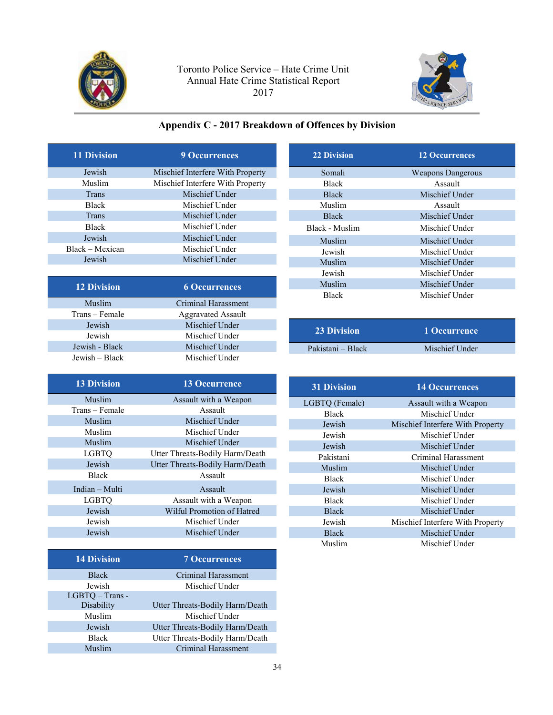<span id="page-33-0"></span>



## **Appendix C - 2017 Breakdown of Offences by Division**

| <b>11 Division</b> | <b>9 Occurrences</b>             |
|--------------------|----------------------------------|
| Jewish             | Mischief Interfere With Property |
| Muslim             | Mischief Interfere With Property |
| Trans              | Mischief Under                   |
| <b>Black</b>       | Mischief Under                   |
| Trans              | Mischief Under                   |
| <b>Black</b>       | Mischief Under                   |
| Jewish             | Mischief Under                   |
| Black – Mexican    | Mischief Under                   |
| Jewish             | Mischief Under                   |
|                    |                                  |
| <b>12 Division</b> | <b>6 Occurrences</b>             |
| Muslim             | Criminal Harassment              |
| Trans – Female     | <b>Aggravated Assault</b>        |
| Jewish             | Mischief Under                   |
| Jewish             | Mischief Under                   |
| Jewish - Black     | Mischief Under                   |
| Jewish – Black     | Mischief Under                   |

| <b>13 Division</b> | <b>13 Occurrence</b>            |
|--------------------|---------------------------------|
| Muslim             | Assault with a Weapon           |
| Trans – Female     | Assault                         |
| Muslim             | Mischief Under                  |
| Muslim             | Mischief Under                  |
| Muslim             | Mischief Under                  |
| <b>LGBTO</b>       | Utter Threats-Bodily Harm/Death |
| Jewish             | Utter Threats-Bodily Harm/Death |
| <b>Black</b>       | Assault                         |
| Indian - Multi     | Assault                         |
| <b>LGBTO</b>       | Assault with a Weapon           |
| Jewish             | Wilful Promotion of Hatred      |
| Jewish             | Mischief Under                  |
| Jewish             | Mischief Under                  |

| <b>14 Division</b> | <b>7 Occurrences</b>            |
|--------------------|---------------------------------|
| <b>Black</b>       | Criminal Harassment             |
| Jewish             | Mischief Under                  |
| LGBTQ - Trans -    |                                 |
| Disability         | Utter Threats-Bodily Harm/Death |
| Muslim             | Mischief Under                  |
| Jewish             | Utter Threats-Bodily Harm/Death |
| <b>Black</b>       | Utter Threats-Bodily Harm/Death |
| Muslim             | <b>Criminal Harassment</b>      |
|                    |                                 |

| <b>22 Division</b> | <b>12 Occurrences</b>    |
|--------------------|--------------------------|
| Somali             | <b>Weapons Dangerous</b> |
| <b>Black</b>       | Assault                  |
| <b>Black</b>       | Mischief Under           |
| Muslim             | Assault                  |
| <b>Black</b>       | Mischief Under           |
| Black - Muslim     | Mischief Under           |
| Muslim             | Mischief Under           |
| Jewish             | Mischief Under           |
| Muslim             | Mischief Under           |
| Jewish             | Mischief Under           |
| Muslim             | Mischief Under           |
| <b>Black</b>       | Mischief Under           |

| <b>23 Division</b> | ' 1 Occurrence . |
|--------------------|------------------|
| Pakistani – Black  | Mischief Under   |
|                    |                  |

| <b>31 Division</b> | <b>14 Occurrences</b>            |
|--------------------|----------------------------------|
| LGBTQ (Female)     | Assault with a Weapon            |
| <b>Black</b>       | Mischief Under                   |
| Jewish             | Mischief Interfere With Property |
| Jewish             | Mischief Under                   |
| Jewish             | Mischief Under                   |
| Pakistani          | Criminal Harassment              |
| Muslim             | Mischief Under                   |
| <b>Black</b>       | Mischief Under                   |
| Jewish             | Mischief Under                   |
| <b>Black</b>       | Mischief Under                   |
| <b>Black</b>       | Mischief Under                   |
| Jewish             | Mischief Interfere With Property |
| <b>Black</b>       | Mischief Under                   |
| Muslim             | Mischief Under                   |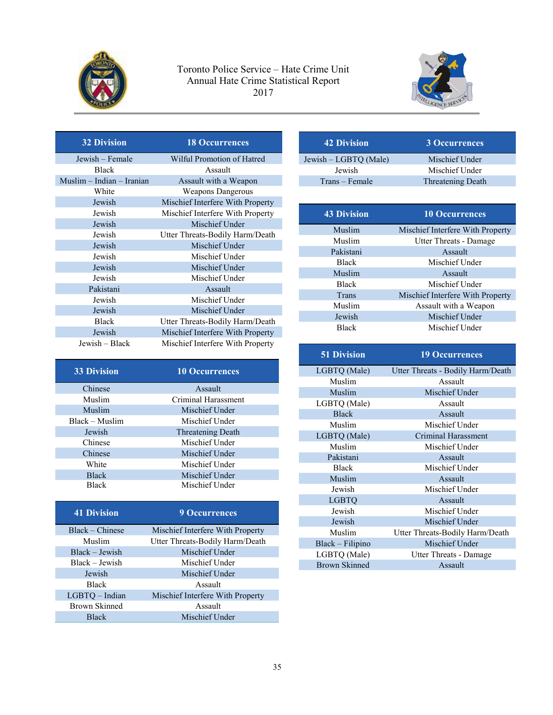



| <b>32 Division</b>        | <b>18 Occurrences</b>            |
|---------------------------|----------------------------------|
| Jewish – Female           | Wilful Promotion of Hatred       |
| <b>Black</b>              | Assault                          |
| Muslim - Indian - Iranian | Assault with a Weapon            |
| White                     | <b>Weapons Dangerous</b>         |
| Jewish                    | Mischief Interfere With Property |
| Jewish                    | Mischief Interfere With Property |
| Jewish                    | Mischief Under                   |
| Jewish                    | Utter Threats-Bodily Harm/Death  |
| Jewish                    | Mischief Under                   |
| Jewish                    | Mischief Under                   |
| Jewish                    | Mischief Under                   |
| Jewish                    | Mischief Under                   |
| Pakistani                 | Assault                          |
| Jewish                    | Mischief Under                   |
| Jewish                    | Mischief Under                   |
| <b>Black</b>              | Utter Threats-Bodily Harm/Death  |
| Jewish                    | Mischief Interfere With Property |
| Jewish – Black            | Mischief Interfere With Property |

| <b>33 Division</b> | <b>10 Occurrences</b> |
|--------------------|-----------------------|
| Chinese            | Assault               |
| Muslim             | Criminal Harassment   |
| Muslim             | Mischief Under        |
| Black – Muslim     | Mischief Under        |
| Jewish             | Threatening Death     |
| Chinese            | Mischief Under        |
| Chinese            | Mischief Under        |
| White              | Mischief Under        |
| <b>Black</b>       | Mischief Under        |
| <b>Black</b>       | Mischief Under        |

| <b>9 Occurrences</b>             |
|----------------------------------|
| Mischief Interfere With Property |
| Utter Threats-Bodily Harm/Death  |
| Mischief Under                   |
| Mischief Under                   |
| Mischief Under                   |
| Assault                          |
| Mischief Interfere With Property |
| Assault                          |
| Mischief Under                   |
|                                  |

| <b>42 Division</b>    | <b>3 Occurrences</b> |
|-----------------------|----------------------|
| Jewish – LGBTO (Male) | Mischief Under       |
| Jewish                | Mischief Under       |
| Trans – Female        | Threatening Death    |

| <b>43 Division</b> | <b>10 Occurrences</b>            |
|--------------------|----------------------------------|
| Muslim             | Mischief Interfere With Property |
| Muslim             | Utter Threats - Damage           |
| Pakistani          | Assault                          |
| <b>Black</b>       | Mischief Under                   |
| Muslim             | Assault                          |
| <b>Black</b>       | Mischief Under                   |
| Trans              | Mischief Interfere With Property |
| Muslim             | Assault with a Weapon            |
| Jewish             | Mischief Under                   |
| <b>Black</b>       | Mischief Under                   |

| <b>51 Division</b>   | <b>19 Occurrences</b>             |
|----------------------|-----------------------------------|
| LGBTQ (Male)         | Utter Threats - Bodily Harm/Death |
| Muslim               | Assault                           |
| Muslim               | Mischief Under                    |
| LGBTQ (Male)         | Assault                           |
| <b>Black</b>         | Assault                           |
| Muslim               | Mischief Under                    |
| LGBTQ (Male)         | Criminal Harassment               |
| Muslim               | Mischief Under                    |
| Pakistani            | Assault                           |
| <b>Black</b>         | Mischief Under                    |
| Muslim               | Assault                           |
| Jewish               | Mischief Under                    |
| <b>LGBTO</b>         | Assault                           |
| Jewish               | Mischief Under                    |
| Jewish               | Mischief Under                    |
| Muslim               | Utter Threats-Bodily Harm/Death   |
| Black - Filipino     | Mischief Under                    |
| LGBTQ (Male)         | Utter Threats - Damage            |
| <b>Brown Skinned</b> | Assault                           |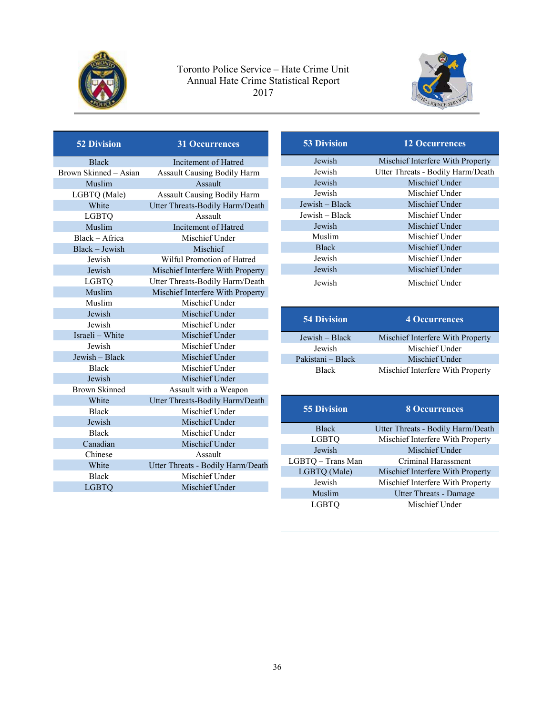



| <b>52 Division</b>    | <b>31 Occurrences</b>              |
|-----------------------|------------------------------------|
| <b>Black</b>          | Incitement of Hatred               |
| Brown Skinned – Asian | <b>Assault Causing Bodily Harm</b> |
| Muslim                | Assault                            |
| LGBTQ (Male)          | <b>Assault Causing Bodily Harm</b> |
| White                 | Utter Threats-Bodily Harm/Death    |
| <b>LGBTO</b>          | Assault                            |
| Muslim                | Incitement of Hatred               |
| Black - Africa        | Mischief Under                     |
| Black - Jewish        | Mischief                           |
| Jewish                | Wilful Promotion of Hatred         |
| Jewish                | Mischief Interfere With Property   |
| <b>LGBTQ</b>          | Utter Threats-Bodily Harm/Death    |
| Muslim                | Mischief Interfere With Property   |
| Muslim                | Mischief Under                     |
| Jewish                | Mischief Under                     |
| Jewish                | Mischief Under                     |
| Israeli - White       | Mischief Under                     |
| Jewish                | Mischief Under                     |
| Jewish - Black        | Mischief Under                     |
| <b>Black</b>          | Mischief Under                     |
| Jewish                | Mischief Under                     |
| <b>Brown Skinned</b>  | Assault with a Weapon              |
| White                 | Utter Threats-Bodily Harm/Death    |
| <b>Black</b>          | Mischief Under                     |
| Jewish                | Mischief Under                     |
| <b>Black</b>          | Mischief Under                     |
| Canadian              | Mischief Under                     |
| Chinese               | Assault                            |
| White                 | Utter Threats - Bodily Harm/Death  |
| <b>Black</b>          | Mischief Under                     |
| <b>LGBTQ</b>          | Mischief Under                     |

| <b>53 Division</b> | <b>12 Occurrences</b>             |
|--------------------|-----------------------------------|
| Jewish             | Mischief Interfere With Property  |
| Jewish             | Utter Threats - Bodily Harm/Death |
| Jewish             | Mischief Under                    |
| Jewish             | Mischief Under                    |
| Jewish – Black     | Mischief Under                    |
| Jewish - Black     | Mischief Under                    |
| Jewish             | Mischief Under                    |
| Muslim             | Mischief Under                    |
| <b>Black</b>       | Mischief Under                    |
| Jewish             | Mischief Under                    |
| Jewish             | Mischief Under                    |
| Jewish             | Mischief Under                    |

| <b>54 Division</b> | <b>4 Occurrences</b>             |
|--------------------|----------------------------------|
| Jewish – Black     | Mischief Interfere With Property |
| Jewish             | Mischief Under                   |
| Pakistani – Black  | Mischief Under                   |
| <b>Black</b>       | Mischief Interfere With Property |

| <b>55 Division</b> | <b>8 Occurrences</b>              |
|--------------------|-----------------------------------|
| <b>Black</b>       | Utter Threats - Bodily Harm/Death |
| <b>LGBTQ</b>       | Mischief Interfere With Property  |
| Jewish             | Mischief Under                    |
| LGBTQ - Trans Man  | Criminal Harassment               |
| LGBTQ (Male)       | Mischief Interfere With Property  |
| Jewish             | Mischief Interfere With Property  |
| Muslim             | <b>Utter Threats - Damage</b>     |
| <b>LGBTO</b>       | Mischief Under                    |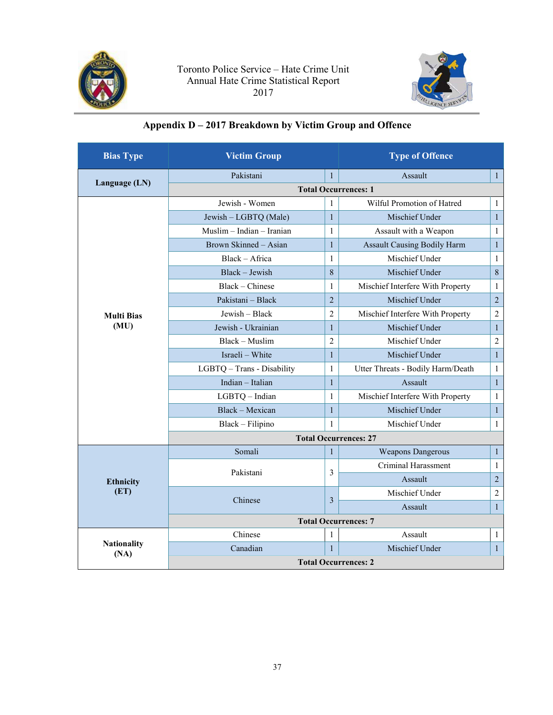<span id="page-36-0"></span>



## **Appendix D – 2017 Breakdown by Victim Group and Offence**

| <b>Bias Type</b>   | <b>Victim Group</b>         |                | <b>Type of Offence</b>             |                |
|--------------------|-----------------------------|----------------|------------------------------------|----------------|
|                    | Pakistani                   | $\mathbf{1}$   | Assault                            | $\mathbf{1}$   |
| Language (LN)      |                             |                | <b>Total Occurrences: 1</b>        |                |
|                    | Jewish - Women              | $\mathbf{1}$   | Wilful Promotion of Hatred         | 1              |
|                    | Jewish - LGBTQ (Male)       | $\mathbf{1}$   | Mischief Under                     | $\mathbf{1}$   |
|                    | Muslim - Indian - Iranian   | $\mathbf{1}$   | Assault with a Weapon              | $\mathbf{1}$   |
|                    | Brown Skinned - Asian       | $\mathbf{1}$   | <b>Assault Causing Bodily Harm</b> | $\mathbf{1}$   |
|                    | Black - Africa              | $\mathbf{1}$   | Mischief Under                     | 1              |
|                    | Black - Jewish              | 8              | Mischief Under                     | $\,8\,$        |
|                    | Black - Chinese             | $\mathbf{1}$   | Mischief Interfere With Property   | $\mathbf{1}$   |
|                    | Pakistani - Black           | $\overline{2}$ | Mischief Under                     | $\sqrt{2}$     |
| <b>Multi Bias</b>  | Jewish - Black              | $\overline{2}$ | Mischief Interfere With Property   | $\overline{2}$ |
| (MU)               | Jewish - Ukrainian          | $\mathbf{1}$   | Mischief Under                     | $\mathbf{1}$   |
|                    | Black - Muslim              | $\overline{2}$ | Mischief Under                     | $\overline{2}$ |
|                    | Israeli - White             | $\mathbf{1}$   | Mischief Under                     | $\mathbf{1}$   |
|                    | LGBTQ - Trans - Disability  | 1              | Utter Threats - Bodily Harm/Death  | $\mathbf{1}$   |
|                    | Indian - Italian            | $\mathbf{1}$   | Assault                            | $\mathbf{1}$   |
|                    | LGBTQ - Indian              | $\mathbf{1}$   | Mischief Interfere With Property   | $\mathbf{1}$   |
|                    | Black - Mexican             | $\mathbf{1}$   | Mischief Under                     | $\mathbf{1}$   |
|                    | Black - Filipino            | $\mathbf{1}$   | Mischief Under                     | 1              |
|                    |                             |                | <b>Total Occurrences: 27</b>       |                |
|                    | Somali                      | $\mathbf{1}$   | <b>Weapons Dangerous</b>           | $\mathbf{1}$   |
|                    | Pakistani                   | 3              | Criminal Harassment                | 1              |
| <b>Ethnicity</b>   |                             |                | Assault                            | $\overline{2}$ |
| (ET)               | Chinese                     | 3              | Mischief Under                     | $\overline{2}$ |
|                    |                             |                | Assault                            | $\mathbf{1}$   |
|                    | <b>Total Occurrences: 7</b> |                |                                    |                |
|                    | Chinese                     | 1              | Assault                            | 1              |
| <b>Nationality</b> | Canadian                    | $\mathbf{1}$   | Mischief Under                     | $\mathbf{1}$   |
| (NA)               | <b>Total Occurrences: 2</b> |                |                                    |                |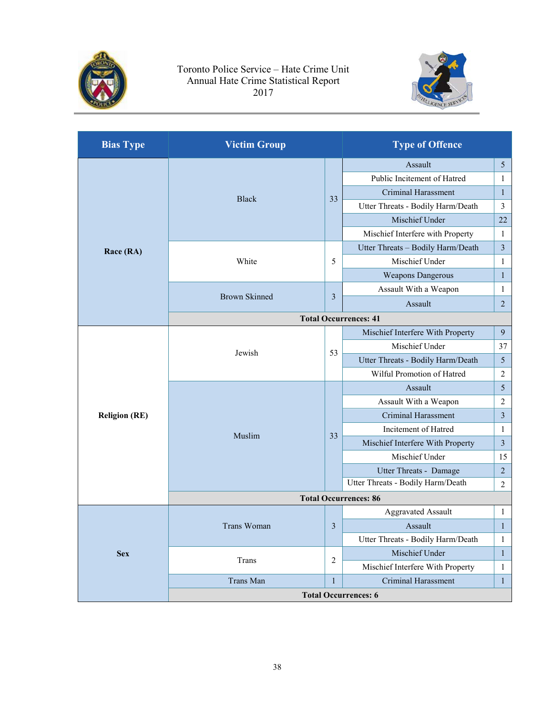



| <b>Bias Type</b>     | <b>Victim Group</b>          |                | <b>Type of Offence</b>            |                         |  |
|----------------------|------------------------------|----------------|-----------------------------------|-------------------------|--|
|                      | <b>Black</b>                 |                | Assault                           | $\mathfrak{S}$          |  |
|                      |                              |                | Public Incitement of Hatred       | 1                       |  |
|                      |                              | 33             | <b>Criminal Harassment</b>        | $\mathbf{1}$            |  |
|                      |                              |                | Utter Threats - Bodily Harm/Death | 3                       |  |
|                      |                              |                | Mischief Under                    | 22                      |  |
|                      |                              |                | Mischief Interfere with Property  | $\mathbf{1}$            |  |
| Race (RA)            |                              |                | Utter Threats - Bodily Harm/Death | $\mathfrak{Z}$          |  |
|                      | White                        | 5              | Mischief Under                    | $\mathbf{1}$            |  |
|                      |                              |                | <b>Weapons Dangerous</b>          | $\mathbf{1}$            |  |
|                      |                              |                | Assault With a Weapon             | $\mathbf{1}$            |  |
|                      | <b>Brown Skinned</b>         | 3              | Assault                           | $\overline{2}$          |  |
|                      |                              |                | <b>Total Occurrences: 41</b>      |                         |  |
|                      |                              |                | Mischief Interfere With Property  | 9                       |  |
|                      | Jewish                       |                | Mischief Under                    | 37                      |  |
|                      |                              | 53             | Utter Threats - Bodily Harm/Death | $\sqrt{5}$              |  |
|                      |                              |                | Wilful Promotion of Hatred        | $\overline{c}$          |  |
|                      | Muslim                       |                | Assault                           | 5                       |  |
|                      |                              |                | Assault With a Weapon             | $\overline{2}$          |  |
| <b>Religion (RE)</b> |                              |                | Criminal Harassment               | $\mathfrak{Z}$          |  |
|                      |                              | 33             | Incitement of Hatred              | $\mathbf{1}$            |  |
|                      |                              |                | Mischief Interfere With Property  | $\overline{\mathbf{3}}$ |  |
|                      |                              |                | Mischief Under                    | 15                      |  |
|                      |                              |                | Utter Threats - Damage            | $\overline{2}$          |  |
|                      |                              |                | Utter Threats - Bodily Harm/Death | $\overline{2}$          |  |
|                      | <b>Total Occurrences: 86</b> |                |                                   |                         |  |
|                      |                              |                | <b>Aggravated Assault</b>         | $\mathbf{1}$            |  |
|                      | Trans Woman                  | 3              | Assault                           | $\mathbf{1}$            |  |
|                      |                              |                | Utter Threats - Bodily Harm/Death | $\mathbf{1}$            |  |
| <b>Sex</b>           | Trans                        | $\overline{c}$ | Mischief Under                    | $\mathbf{1}$            |  |
|                      |                              |                | Mischief Interfere With Property  | 1                       |  |
|                      | Trans Man                    | $\mathbf{1}$   | <b>Criminal Harassment</b>        | $\mathbf{1}$            |  |
|                      | <b>Total Occurrences: 6</b>  |                |                                   |                         |  |